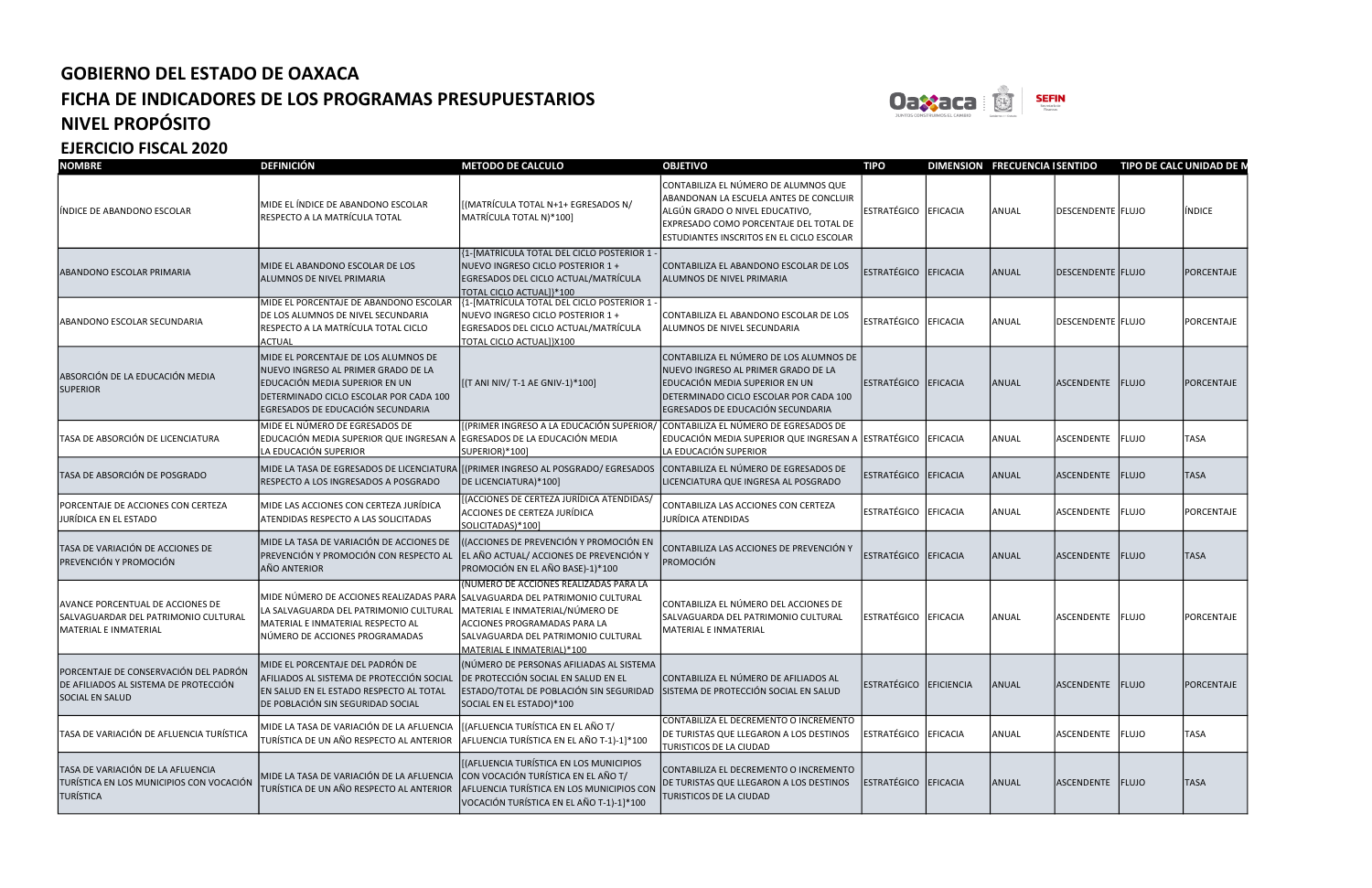

| <b>NOMBRE</b>                                                                                            | <b>DEFINICIÓN</b>                                                                                                                                                                            | <b>METODO DE CALCULO</b>                                                                                                                                                                                                     | <b>OBJETIVO</b>                                                                                                                                                                                                | <b>TIPO</b>            |          | DIMENSION FRECUENCIA I SENTIDO |                          | TIPO DE CALC UNIDAD DE N |               |
|----------------------------------------------------------------------------------------------------------|----------------------------------------------------------------------------------------------------------------------------------------------------------------------------------------------|------------------------------------------------------------------------------------------------------------------------------------------------------------------------------------------------------------------------------|----------------------------------------------------------------------------------------------------------------------------------------------------------------------------------------------------------------|------------------------|----------|--------------------------------|--------------------------|--------------------------|---------------|
| INDICE DE ABANDONO ESCOLAR                                                                               | MIDE EL ÍNDICE DE ABANDONO ESCOLAR<br>RESPECTO A LA MATRÍCULA TOTAL                                                                                                                          | [(MATRÍCULA TOTAL N+1+ EGRESADOS N/<br>MATRÍCULA TOTAL N)*100]                                                                                                                                                               | CONTABILIZA EL NÚMERO DE ALUMNOS QUE<br>ABANDONAN LA ESCUELA ANTES DE CONCLUIR<br>ALGÚN GRADO O NIVEL EDUCATIVO,<br>EXPRESADO COMO PORCENTAJE DEL TOTAL DE<br><b>ESTUDIANTES INSCRITOS EN EL CICLO ESCOLAR</b> | ESTRATÉGICO EFICACIA   |          | ANUAL                          | <b>DESCENDENTE FLUJO</b> |                          | <b>INDICE</b> |
| ABANDONO ESCOLAR PRIMARIA                                                                                | MIDE EL ABANDONO ESCOLAR DE LOS<br>ALUMNOS DE NIVEL PRIMARIA                                                                                                                                 | {1-[MATRÍCULA TOTAL DEL CICLO POSTERIOR 1 -<br>NUEVO INGRESO CICLO POSTERIOR 1 +<br>EGRESADOS DEL CICLO ACTUAL/MATRÍCULA<br>TOTAL CICLO ACTUAL]}*100                                                                         | CONTABILIZA EL ABANDONO ESCOLAR DE LOS<br>ALUMNOS DE NIVEL PRIMARIA                                                                                                                                            | ESTRATÉGICO EFICACIA   |          | <b>ANUAL</b>                   | DESCENDENTE FLUJO        |                          | PORCENTAJE    |
| ABANDONO ESCOLAR SECUNDARIA                                                                              | MIDE EL PORCENTAJE DE ABANDONO ESCOLAR<br>DE LOS ALUMNOS DE NIVEL SECUNDARIA<br>RESPECTO A LA MATRÍCULA TOTAL CICLO<br><b>ACTUAL</b>                                                         | {1-[MATRÍCULA TOTAL DEL CICLO POSTERIOR 1 -<br>NUEVO INGRESO CICLO POSTERIOR 1 +<br>EGRESADOS DEL CICLO ACTUAL/MATRÍCULA<br>TOTAL CICLO ACTUAL]}X100                                                                         | CONTABILIZA EL ABANDONO ESCOLAR DE LOS<br>ALUMNOS DE NIVEL SECUNDARIA                                                                                                                                          | ESTRATÉGICO EFICACIA   |          | ANUAL                          | DESCENDENTE FLUJO        |                          | PORCENTAJE    |
| ABSORCIÓN DE LA EDUCACIÓN MEDIA<br><b>SUPERIOR</b>                                                       | MIDE EL PORCENTAJE DE LOS ALUMNOS DE<br>NUEVO INGRESO AL PRIMER GRADO DE LA<br>EDUCACIÓN MEDIA SUPERIOR EN UN<br>DETERMINADO CICLO ESCOLAR POR CADA 100<br>EGRESADOS DE EDUCACIÓN SECUNDARIA | [(T ANI NIV/ T-1 AE GNIV-1)*100]                                                                                                                                                                                             | CONTABILIZA EL NÚMERO DE LOS ALUMNOS DE<br>NUEVO INGRESO AL PRIMER GRADO DE LA<br>EDUCACIÓN MEDIA SUPERIOR EN UN<br>DETERMINADO CICLO ESCOLAR POR CADA 100<br>EGRESADOS DE EDUCACIÓN SECUNDARIA                | ESTRATÉGICO EFICACIA   |          | ANUAL                          | ASCENDENTE FLUJO         |                          | PORCENTAJE    |
| TASA DE ABSORCIÓN DE LICENCIATURA                                                                        | MIDE EL NÚMERO DE EGRESADOS DE<br>EDUCACIÓN MEDIA SUPERIOR QUE INGRESAN A<br>LA EDUCACIÓN SUPERIOR                                                                                           | [(PRIMER INGRESO A LA EDUCACIÓN SUPERIOR,<br>EGRESADOS DE LA EDUCACIÓN MEDIA<br>SUPERIOR)*100]                                                                                                                               | CONTABILIZA EL NÚMERO DE EGRESADOS DE<br>EDUCACIÓN MEDIA SUPERIOR QUE INGRESAN A ESTRATÉGICO EFICACIA<br>LA EDUCACIÓN SUPERIOR                                                                                 |                        |          | ANUAL                          | ASCENDENTE FLUJO         |                          | <b>TASA</b>   |
| TASA DE ABSORCIÓN DE POSGRADO                                                                            | MIDE LA TASA DE EGRESADOS DE LICENCIATURA<br>RESPECTO A LOS INGRESADOS A POSGRADO                                                                                                            | [(PRIMER INGRESO AL POSGRADO/ EGRESADOS<br>DE LICENCIATURA)*100]                                                                                                                                                             | CONTABILIZA EL NÚMERO DE EGRESADOS DE<br>LICENCIATURA QUE INGRESA AL POSGRADO                                                                                                                                  | <b>ESTRATÉGICO</b>     | EFICACIA | ANUAL                          | ASCENDENTE FLUJO         |                          | <b>TASA</b>   |
| PORCENTAJE DE ACCIONES CON CERTEZA<br>JURÍDICA EN EL ESTADO                                              | MIDE LAS ACCIONES CON CERTEZA JURÍDICA<br>ATENDIDAS RESPECTO A LAS SOLICITADAS                                                                                                               | ((ACCIONES DE CERTEZA JURÍDICA ATENDIDAS/<br>ACCIONES DE CERTEZA JURÍDICA<br>SOLICITADAS)*100]                                                                                                                               | CONTABILIZA LAS ACCIONES CON CERTEZA<br>JURÍDICA ATENDIDAS                                                                                                                                                     | ESTRATÉGICO EFICACIA   |          | ANUAL                          | ASCENDENTE               | FLUJO                    | PORCENTAJE    |
| TASA DE VARIACIÓN DE ACCIONES DE<br>PREVENCIÓN Y PROMOCIÓN                                               | MIDE LA TASA DE VARIACIÓN DE ACCIONES DE<br>PREVENCIÓN Y PROMOCIÓN CON RESPECTO AL<br>AÑO ANTERIOR                                                                                           | ((ACCIONES DE PREVENCIÓN Y PROMOCIÓN EN<br>EL AÑO ACTUAL/ ACCIONES DE PREVENCIÓN Y<br>PROMOCIÓN EN EL AÑO BASE)-1)*100                                                                                                       | CONTABILIZA LAS ACCIONES DE PREVENCIÓN Y<br>PROMOCIÓN                                                                                                                                                          | ESTRATÉGICO EFICACIA   |          | ANUAL                          | ASCENDENTE FLUJO         |                          | <b>TASA</b>   |
| AVANCE PORCENTUAL DE ACCIONES DE<br>SALVAGUARDAR DEL PATRIMONIO CULTURAL<br><b>MATERIAL E INMATERIAL</b> | MIDE NÚMERO DE ACCIONES REALIZADAS PARA<br>LA SALVAGUARDA DEL PATRIMONIO CULTURAL<br>MATERIAL E INMATERIAL RESPECTO AL<br>NÚMERO DE ACCIONES PROGRAMADAS                                     | (NÚMERO DE ACCIONES REALIZADAS PARA LA<br>SALVAGUARDA DEL PATRIMONIO CULTURAL<br>MATERIAL E INMATERIAL/NÚMERO DE<br>ACCIONES PROGRAMADAS PARA LA<br>SALVAGUARDA DEL PATRIMONIO CULTURAL<br><u>MATERIAL E INMATERIAL)*100</u> | CONTABILIZA EL NÚMERO DEL ACCIONES DE<br>SALVAGUARDA DEL PATRIMONIO CULTURAL<br>MATERIAL E INMATERIAL                                                                                                          | ESTRATÉGICO EFICACIA   |          | ANUAL                          | ASCENDENTE FLUJO         |                          | PORCENTAJE    |
| PORCENTAJE DE CONSERVACIÓN DEL PADRÓN<br>DE AFILIADOS AL SISTEMA DE PROTECCIÓN<br><b>SOCIAL EN SALUD</b> | MIDE EL PORCENTAJE DEL PADRÓN DE<br>AFILIADOS AL SISTEMA DE PROTECCIÓN SOCIAL<br>EN SALUD EN EL ESTADO RESPECTO AL TOTAL<br>DE POBLACIÓN SIN SEGURIDAD SOCIAL                                | (NÚMERO DE PERSONAS AFILIADAS AL SISTEMA<br>DE PROTECCIÓN SOCIAL EN SALUD EN EL<br>ESTADO/TOTAL DE POBLACIÓN SIN SEGURIDAD SISTEMA DE PROTECCIÓN SOCIAL EN SALUD<br>SOCIAL EN EL ESTADO)*100                                 | CONTABILIZA EL NÚMERO DE AFILIADOS AL                                                                                                                                                                          | ESTRATÉGICO EFICIENCIA |          | ANUAL                          | ASCENDENTE FLUJO         |                          | PORCENTAJE    |
| TASA DE VARIACIÓN DE AFLUENCIA TURÍSTICA                                                                 | MIDE LA TASA DE VARIACIÓN DE LA AFLUENCIA<br>TURÍSTICA DE UN AÑO RESPECTO AL ANTERIOR                                                                                                        | [(AFLUENCIA TURÍSTICA EN EL AÑO T/<br>AFLUENCIA TURÍSTICA EN EL AÑO T-1)-1]*100                                                                                                                                              | CONTABILIZA EL DECREMENTO O INCREMENTO<br>DE TURISTAS QUE LLEGARON A LOS DESTINOS<br>TURISTICOS DE LA CIUDAD                                                                                                   | ESTRATÉGICO EFICACIA   |          | ANUAL                          | ASCENDENTE FLUJO         |                          | <b>TASA</b>   |
| TASA DE VARIACIÓN DE LA AFLUENCIA<br>TURÍSTICA EN LOS MUNICIPIOS CON VOCACIÓN<br><b>TURÍSTICA</b>        | MIDE LA TASA DE VARIACIÓN DE LA AFLUENCIA<br>TURÍSTICA DE UN AÑO RESPECTO AL ANTERIOR                                                                                                        | (AFLUENCIA TURÍSTICA EN LOS MUNICIPIOS<br>CON VOCACIÓN TURÍSTICA EN EL AÑO T/<br>AFLUENCIA TURÍSTICA EN LOS MUNICIPIOS CON<br>VOCACIÓN TURÍSTICA EN EL AÑO T-1)-1]*100                                                       | CONTABILIZA EL DECREMENTO O INCREMENTO<br>DE TURISTAS QUE LLEGARON A LOS DESTINOS<br><b>TURISTICOS DE LA CIUDAD</b>                                                                                            | ESTRATÉGICO EFICACIA   |          | ANUAL                          | ASCENDENTE FLUJO         |                          | <b>TASA</b>   |



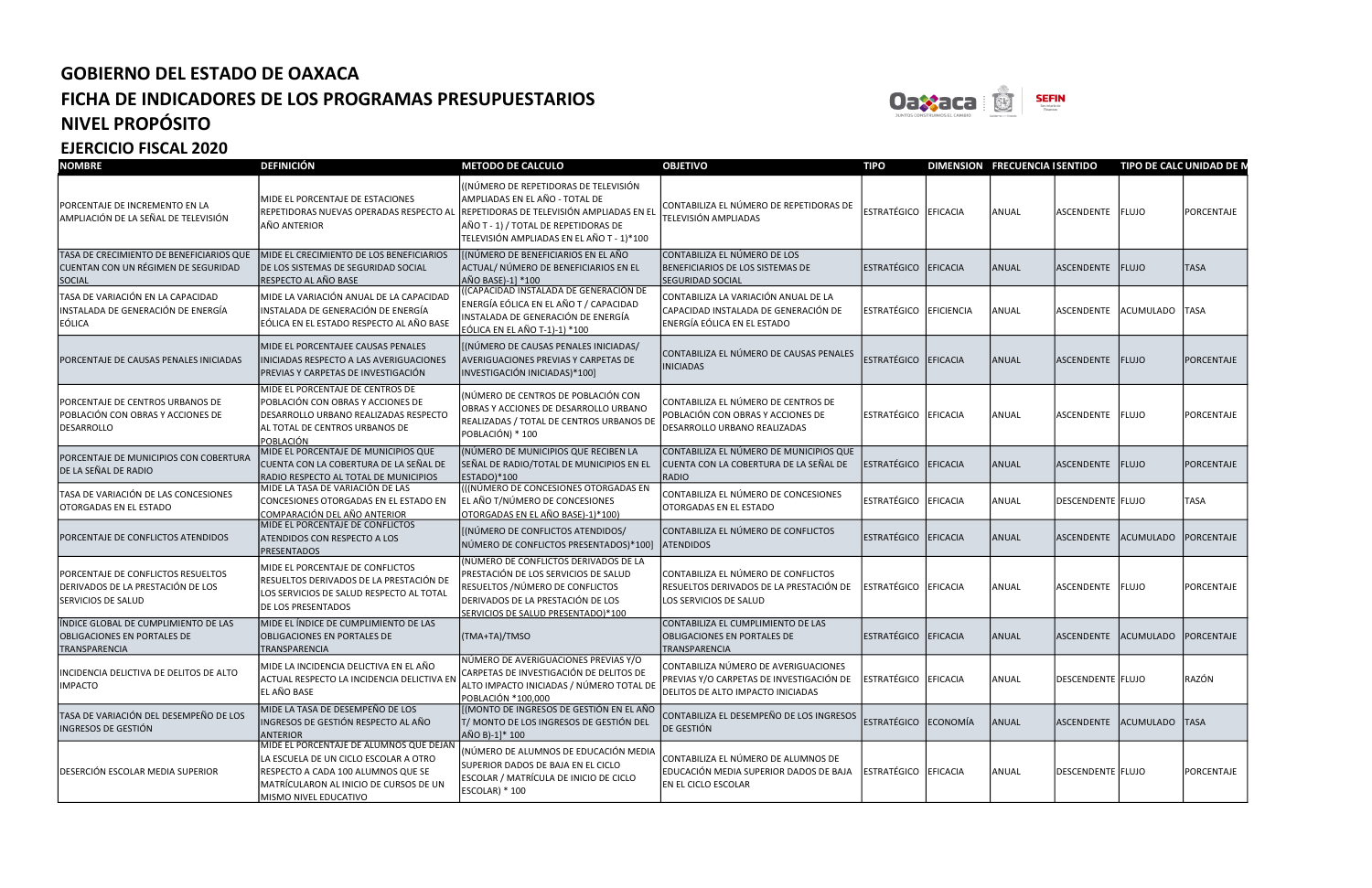

| <b>NOMBRE</b>                                                                                    | <b>DEFINICIÓN</b>                                                                                                                                                                         | <b>METODO DE CALCULO</b>                                                                                                                                                                                 | <b>OBJETIVO</b>                                                                                                       | <b>TIPO</b>            |          | DIMENSION FRECUENCIA I SENTIDO |                           | TIPO DE CALC UNIDAD DE N |                   |
|--------------------------------------------------------------------------------------------------|-------------------------------------------------------------------------------------------------------------------------------------------------------------------------------------------|----------------------------------------------------------------------------------------------------------------------------------------------------------------------------------------------------------|-----------------------------------------------------------------------------------------------------------------------|------------------------|----------|--------------------------------|---------------------------|--------------------------|-------------------|
| PORCENTAJE DE INCREMENTO EN LA<br>AMPLIACIÓN DE LA SEÑAL DE TELEVISIÓN                           | MIDE EL PORCENTAJE DE ESTACIONES<br>REPETIDORAS NUEVAS OPERADAS RESPECTO AL<br>AÑO ANTERIOR                                                                                               | (NÚMERO DE REPETIDORAS DE TELEVISIÓN<br>AMPLIADAS EN EL AÑO - TOTAL DE<br>REPETIDORAS DE TELEVISIÓN AMPLIADAS EN EL<br>AÑO T - 1) / TOTAL DE REPETIDORAS DE<br>TELEVISIÓN AMPLIADAS EN EL AÑO T - 1)*100 | CONTABILIZA EL NÚMERO DE REPETIDORAS DE<br>TELEVISIÓN AMPLIADAS                                                       | ESTRATÉGICO EFICACIA   |          | ANUAL                          | ASCENDENTE FLUJO          |                          | PORCENTAJE        |
| TASA DE CRECIMIENTO DE BENEFICIARIOS QUE<br>CUENTAN CON UN RÉGIMEN DE SEGURIDAD<br><b>SOCIAL</b> | MIDE EL CRECIMIENTO DE LOS BENEFICIARIOS<br><b>DE LOS SISTEMAS DE SEGURIDAD SOCIAL</b><br>RESPECTO AL AÑO BASE                                                                            | [(NÚMERO DE BENEFICIARIOS EN EL AÑO<br>ACTUAL/ NÚMERO DE BENEFICIARIOS EN EL<br>AÑO BASE)-1] *100                                                                                                        | CONTABILIZA EL NÚMERO DE LOS<br>BENEFICIARIOS DE LOS SISTEMAS DE<br><b>SEGURIDAD SOCIAL</b>                           | ESTRATÉGICO            | EFICACIA | ANUAL                          | ASCENDENTE                | FLUJO                    | <b>TASA</b>       |
| TASA DE VARIACIÓN EN LA CAPACIDAD<br>INSTALADA DE GENERACIÓN DE ENERGÍA<br>EÓLICA                | MIDE LA VARIACIÓN ANUAL DE LA CAPACIDAD<br>INSTALADA DE GENERACIÓN DE ENERGÍA<br>EÓLICA EN EL ESTADO RESPECTO AL AÑO BASE                                                                 | (CAPACIDAD INSTALADA DE GENERACIÓN DE<br>ENERGÍA EÓLICA EN EL AÑO T / CAPACIDAD<br>INSTALADA DE GENERACIÓN DE ENERGÍA<br><b>EÓLICA EN EL AÑO T-1)-1) *100</b>                                            | CONTABILIZA LA VARIACIÓN ANUAL DE LA<br>CAPACIDAD INSTALADA DE GENERACIÓN DE<br>ENERGÍA EÓLICA EN EL ESTADO           | ESTRATÉGICO EFICIENCIA |          | ANUAL                          | ASCENDENTE                | ACUMULADO                | <b>TASA</b>       |
| PORCENTAJE DE CAUSAS PENALES INICIADAS                                                           | MIDE EL PORCENTAJEE CAUSAS PENALES<br>INICIADAS RESPECTO A LAS AVERIGUACIONES<br>PREVIAS Y CARPETAS DE INVESTIGACIÓN                                                                      | [(NÚMERO DE CAUSAS PENALES INICIADAS/<br>AVERIGUACIONES PREVIAS Y CARPETAS DE<br>INVESTIGACIÓN INICIADAS)*100]                                                                                           | CONTABILIZA EL NÚMERO DE CAUSAS PENALES<br><b>INICIADAS</b>                                                           | ESTRATÉGICO EFICACIA   |          | ANUAL                          | ASCENDENTE                | FLUJO                    | PORCENTAJE        |
| PORCENTAJE DE CENTROS URBANOS DE<br>POBLACIÓN CON OBRAS Y ACCIONES DE<br><b>DESARROLLO</b>       | <b>IMIDE EL PORCENTAJE DE CENTROS DE</b><br>POBLACIÓN CON OBRAS Y ACCIONES DE<br><b>IDESARROLLO URBANO REALIZADAS RESPECTO</b><br>AL TOTAL DE CENTROS URBANOS DE<br>POBLACIÓN             | (NÚMERO DE CENTROS DE POBLACIÓN CON<br>OBRAS Y ACCIONES DE DESARROLLO URBANO<br>REALIZADAS / TOTAL DE CENTROS URBANOS DI<br>POBLACIÓN) * 100                                                             | CONTABILIZA EL NÚMERO DE CENTROS DE<br>POBLACIÓN CON OBRAS Y ACCIONES DE<br>DESARROLLO URBANO REALIZADAS              | ESTRATÉGICO EFICACIA   |          | ANUAL                          | ASCENDENTE FLUJO          |                          | PORCENTAJE        |
| PORCENTAJE DE MUNICIPIOS CON COBERTURA<br>DE LA SEÑAL DE RADIO                                   | MIDE EL PORCENTAJE DE MUNICIPIOS QUE<br>CUENTA CON LA COBERTURA DE LA SEÑAL DE<br>RADIO RESPECTO AL TOTAL DE MUNICIPIOS                                                                   | (NÚMERO DE MUNICIPIOS QUE RECIBEN LA<br>SEÑAL DE RADIO/TOTAL DE MUNICIPIOS EN EL<br>ESTADO)*100                                                                                                          | CONTABILIZA EL NÚMERO DE MUNICIPIOS QUE<br>CUENTA CON LA COBERTURA DE LA SEÑAL DE<br>RADIO                            | ESTRATÉGICO EFICACIA   |          | ANUAL                          | ASCENDENTE                | <b>FLUJO</b>             | PORCENTAJE        |
| TASA DE VARIACIÓN DE LAS CONCESIONES<br>OTORGADAS EN EL ESTADO                                   | MIDE LA TASA DE VARIACIÓN DE LAS<br>CONCESIONES OTORGADAS EN EL ESTADO EN<br>COMPARACIÓN DEL AÑO ANTERIOR                                                                                 | ((INÚMERO DE CONCESIONES OTORGADAS EN<br>EL AÑO T/NÚMERO DE CONCESIONES<br>OTORGADAS EN EL AÑO BASE)-1)*100)                                                                                             | CONTABILIZA EL NÚMERO DE CONCESIONES<br>OTORGADAS EN EL ESTADO                                                        | ESTRATÉGICO EFICACIA   |          | ANUAL                          | DESCENDENTE FLUJO         |                          | TASA              |
| PORCENTAJE DE CONFLICTOS ATENDIDOS                                                               | MIDE EL PORCENTAJE DE CONFLICTOS<br>ATENDIDOS CON RESPECTO A LOS<br><b>PRESENTADOS</b>                                                                                                    | (NÚMERO DE CONFLICTOS ATENDIDOS/<br>NÚMERO DE CONFLICTOS PRESENTADOS)*100]                                                                                                                               | CONTABILIZA EL NÚMERO DE CONFLICTOS<br><b>ATENDIDOS</b>                                                               | ESTRATÉGICO EFICACIA   |          | ANUAL                          | ASCENDENTE                | <b>ACUMULADO</b>         | PORCENTAJE        |
| PORCENTAJE DE CONFLICTOS RESUELTOS<br>DERIVADOS DE LA PRESTACIÓN DE LOS<br>SERVICIOS DE SALUD    | MIDE EL PORCENTAJE DE CONFLICTOS<br>RESUELTOS DERIVADOS DE LA PRESTACIÓN DE<br>LOS SERVICIOS DE SALUD RESPECTO AL TOTAL<br><b>DE LOS PRESENTADOS</b>                                      | NÚMERO DE CONFLICTOS DERIVADOS DE LA<br>PRESTACIÓN DE LOS SERVICIOS DE SALUD<br>RESUELTOS / NÚMERO DE CONFLICTOS<br>DERIVADOS DE LA PRESTACIÓN DE LOS<br>SERVICIOS DE SALUD PRESENTADO)*100              | CONTABILIZA EL NÚMERO DE CONFLICTOS<br>RESUELTOS DERIVADOS DE LA PRESTACIÓN DE<br>LOS SERVICIOS DE SALUD              | ESTRATÉGICO EFICACIA   |          | ANUAL                          | ASCENDENTE FLUJO          |                          | PORCENTAJE        |
| ÍNDICE GLOBAL DE CUMPLIMIENTO DE LAS<br><b>OBLIGACIONES EN PORTALES DE</b><br>TRANSPARENCIA      | MIDE EL ÍNDICE DE CUMPLIMIENTO DE LAS<br><b>OBLIGACIONES EN PORTALES DE</b><br>TRANSPARENCIA                                                                                              | (TMA+TA)/TMSO                                                                                                                                                                                            | CONTABILIZA EL CUMPLIMIENTO DE LAS<br>OBLIGACIONES EN PORTALES DE<br>TRANSPARENCIA                                    | ESTRATÉGICO EFICACIA   |          | ANUAL                          | <b>ASCENDENTE</b>         | <b>ACUMULADO</b>         | <b>PORCENTAJE</b> |
| INCIDENCIA DELICTIVA DE DELITOS DE ALTO<br><b>IMPACTO</b>                                        | MIDE LA INCIDENCIA DELICTIVA EN EL AÑO<br>ACTUAL RESPECTO LA INCIDENCIA DELICTIVA EN<br>EL AÑO BASE                                                                                       | NÚMERO DE AVERIGUACIONES PREVIAS Y/O<br>CARPETAS DE INVESTIGACIÓN DE DELITOS DE<br>ALTO IMPACTO INICIADAS / NÚMERO TOTAL DE<br>POBLACIÓN *100,000                                                        | CONTABILIZA NÚMERO DE AVERIGUACIONES<br>PREVIAS Y/O CARPETAS DE INVESTIGACIÓN DE<br>DELITOS DE ALTO IMPACTO INICIADAS | ESTRATÉGICO EFICACIA   |          | ANUAL                          | DESCENDENTE FLUJO         |                          | RAZÓN             |
| TASA DE VARIACIÓN DEL DESEMPEÑO DE LOS<br>INGRESOS DE GESTIÓN                                    | MIDE LA TASA DE DESEMPEÑO DE LOS<br>INGRESOS DE GESTIÓN RESPECTO AL AÑO<br><b>ANTERIOR</b>                                                                                                | [(MONTO DE INGRESOS DE GESTIÓN EN EL AÑO<br>T/ MONTO DE LOS INGRESOS DE GESTIÓN DEL<br>AÑO B)-1]* 100                                                                                                    | CONTABILIZA EL DESEMPEÑO DE LOS INGRESOS<br>DE GESTIÓN                                                                | ESTRATÉGICO ECONOMÍA   |          | ANUAL                          | ASCENDENTE ACUMULADO TASA |                          |                   |
| DESERCIÓN ESCOLAR MEDIA SUPERIOR                                                                 | MIDE EL PORCENTAJE DE ALUMNOS QUE DEJAN<br>LA ESCUELA DE UN CICLO ESCOLAR A OTRO<br>RESPECTO A CADA 100 ALUMNOS QUE SE<br>MATRÍCULARON AL INICIO DE CURSOS DE UN<br>MISMO NIVEL EDUCATIVO | (NÚMERO DE ALUMNOS DE EDUCACIÓN MEDIA<br>SUPERIOR DADOS DE BAJA EN EL CICLO<br>ESCOLAR / MATRÍCULA DE INICIO DE CICLO<br>ESCOLAR) * 100                                                                  | CONTABILIZA EL NÚMERO DE ALUMNOS DE<br>EDUCACIÓN MEDIA SUPERIOR DADOS DE BAJA<br>EN EL CICLO ESCOLAR                  | ESTRATÉGICO EFICACIA   |          | ANUAL                          | DESCENDENTE FLUJO         |                          | PORCENTAJE        |



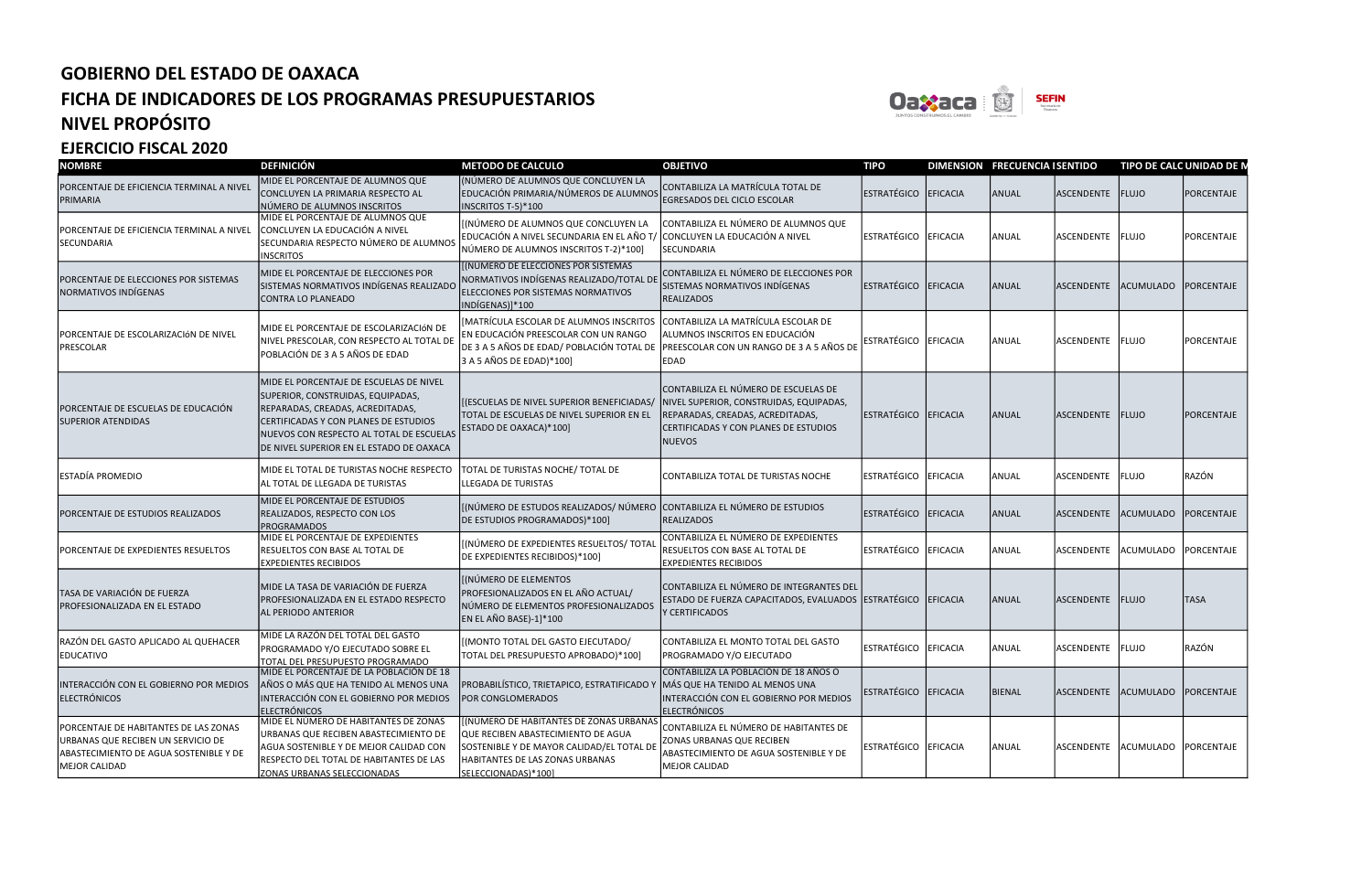

| <b>NOMBRE</b>                                                                                                                          | <b>DEFINICIÓN</b>                                                                                                                                                                                                                                 | <b>METODO DE CALCULO</b>                                                                                                                                                            | <b>OBJETIVO</b>                                                                                                                                                               | <b>TIPO</b>          | DIMENSION FRECUENCIA I SENTIDO |                                 | TIPO DE CALC UNIDAD DE N |                   |
|----------------------------------------------------------------------------------------------------------------------------------------|---------------------------------------------------------------------------------------------------------------------------------------------------------------------------------------------------------------------------------------------------|-------------------------------------------------------------------------------------------------------------------------------------------------------------------------------------|-------------------------------------------------------------------------------------------------------------------------------------------------------------------------------|----------------------|--------------------------------|---------------------------------|--------------------------|-------------------|
| PORCENTAJE DE EFICIENCIA TERMINAL A NIVEL<br>PRIMARIA                                                                                  | MIDE EL PORCENTAJE DE ALUMNOS QUE<br>CONCLUYEN LA PRIMARIA RESPECTO AL<br>NÚMERO DE ALUMNOS INSCRITOS                                                                                                                                             | (NÚMERO DE ALUMNOS QUE CONCLUYEN LA<br>EDUCACIÓN PRIMARIA/NÚMEROS DE ALUMNOS<br>INSCRITOS T-5)*100                                                                                  | CONTABILIZA LA MATRÍCULA TOTAL DE<br>EGRESADOS DEL CICLO ESCOLAR                                                                                                              | ESTRATÉGICO EFICACIA | ANUAL                          | ASCENDENTE FLUJO                |                          | PORCENTAJE        |
| PORCENTAJE DE EFICIENCIA TERMINAL A NIVEL<br>SECUNDARIA                                                                                | MIDE EL PORCENTAJE DE ALUMNOS QUE<br>CONCLUYEN LA EDUCACIÓN A NIVEL<br>SECUNDARIA RESPECTO NÚMERO DE ALUMNOS<br><b>INSCRITOS</b>                                                                                                                  | [(NÚMERO DE ALUMNOS QUE CONCLUYEN LA<br>EDUCACIÓN A NIVEL SECUNDARIA EN EL AÑO T/<br>NÚMERO DE ALUMNOS INSCRITOS T-2)*100]                                                          | CONTABILIZA EL NÚMERO DE ALUMNOS QUE<br>SONCLUYEN LA EDUCACIÓN A NIVEL<br><b>SECUNDARIA</b>                                                                                   | ESTRATÉGICO EFICACIA | ANUAL                          | ASCENDENTE                      | FLUJO                    | PORCENTAJE        |
| PORCENTAJE DE ELECCIONES POR SISTEMAS<br>NORMATIVOS INDÍGENAS                                                                          | MIDE EL PORCENTAJE DE ELECCIONES POR<br>SISTEMAS NORMATIVOS INDÍGENAS REALIZADO<br>CONTRA LO PLANEADO                                                                                                                                             | [(NÚMERO DE ELECCIONES POR SISTEMAS<br>NORMATIVOS INDÍGENAS REALIZADO/TOTAL DE<br>ELECCIONES POR SISTEMAS NORMATIVOS<br>INDÍGENAS)]*100                                             | CONTABILIZA EL NÚMERO DE ELECCIONES POR<br>SISTEMAS NORMATIVOS INDÍGENAS<br><b>REALIZADOS</b>                                                                                 | ESTRATÉGICO EFICACIA | ANUAL                          | <b>ASCENDENTE</b>               | <b>ACUMULADO</b>         | PORCENTAJE        |
| PORCENTAJE DE ESCOLARIZACIÓN DE NIVEL<br>PRESCOLAR                                                                                     | MIDE EL PORCENTAJE DE ESCOLARIZACIÓN DE<br>NIVEL PRESCOLAR, CON RESPECTO AL TOTAL DE<br>POBLACIÓN DE 3 A 5 AÑOS DE EDAD                                                                                                                           | [MATRÍCULA ESCOLAR DE ALUMNOS INSCRITOS<br>EN EDUCACIÓN PREESCOLAR CON UN RANGO<br>DE 3 A 5 AÑOS DE EDAD/ POBLACIÓN TOTAL DE<br>3 A 5 AÑOS DE EDAD)*100]                            | CONTABILIZA LA MATRÍCULA ESCOLAR DE<br>ALUMNOS INSCRITOS EN EDUCACIÓN<br>PREESCOLAR CON UN RANGO DE 3 A 5 AÑOS DE<br>EDAD                                                     | ESTRATÉGICO EFICACIA | ANUAL                          | ASCENDENTE FLUJO                |                          | PORCENTAJE        |
| PORCENTAJE DE ESCUELAS DE EDUCACIÓN<br>SUPERIOR ATENDIDAS                                                                              | MIDE EL PORCENTAJE DE ESCUELAS DE NIVEL<br>SUPERIOR, CONSTRUIDAS, EQUIPADAS,<br>REPARADAS, CREADAS, ACREDITADAS,<br>CERTIFICADAS Y CON PLANES DE ESTUDIOS<br>NUEVOS CON RESPECTO AL TOTAL DE ESCUELAS<br>DE NIVEL SUPERIOR EN EL ESTADO DE OAXACA | [(ESCUELAS DE NIVEL SUPERIOR BENEFICIADAS/<br>TOTAL DE ESCUELAS DE NIVEL SUPERIOR EN EL<br>ESTADO DE OAXACA)*100]                                                                   | CONTABILIZA EL NÚMERO DE ESCUELAS DE<br>NIVEL SUPERIOR, CONSTRUIDAS, EQUIPADAS,<br>REPARADAS, CREADAS, ACREDITADAS,<br>CERTIFICADAS Y CON PLANES DE ESTUDIOS<br><b>NUEVOS</b> | ESTRATÉGICO EFICACIA | ANUAL                          | ASCENDENTE FLUJO                |                          | PORCENTAJE        |
| ESTADÍA PROMEDIO                                                                                                                       | MIDE EL TOTAL DE TURISTAS NOCHE RESPECTO<br>AL TOTAL DE LLEGADA DE TURISTAS                                                                                                                                                                       | TOTAL DE TURISTAS NOCHE/ TOTAL DE<br><b>LLEGADA DE TURISTAS</b>                                                                                                                     | CONTABILIZA TOTAL DE TURISTAS NOCHE                                                                                                                                           | ESTRATÉGICO EFICACIA | ANUAL                          | <b>ASCENDENTE</b>               | <b>FLUJO</b>             | RAZÓN             |
| PORCENTAJE DE ESTUDIOS REALIZADOS                                                                                                      | MIDE EL PORCENTAJE DE ESTUDIOS<br>REALIZADOS, RESPECTO CON LOS<br><b>PROGRAMADOS</b>                                                                                                                                                              | [(NÚMERO DE ESTUDOS REALIZADOS/ NÚMERO   CONTABILIZA EL NÚMERO DE ESTUDIOS<br>DE ESTUDIOS PROGRAMADOS)*100]                                                                         | <b>REALIZADOS</b>                                                                                                                                                             | ESTRATÉGICO EFICACIA | ANUAL                          | <b>ASCENDENTE</b>               | ACUMULADO                | <b>PORCENTAJE</b> |
| PORCENTAJE DE EXPEDIENTES RESUELTOS                                                                                                    | MIDE EL PORCENTAJE DE EXPEDIENTES<br><b>RESUELTOS CON BASE AL TOTAL DE</b><br><b>EXPEDIENTES RECIBIDOS</b>                                                                                                                                        | [(NÚMERO DE EXPEDIENTES RESUELTOS/ TOTAI<br>DE EXPEDIENTES RECIBIDOS)*100]                                                                                                          | CONTABILIZA EL NÚMERO DE EXPEDIENTES<br>RESUELTOS CON BASE AL TOTAL DE<br><b>EXPEDIENTES RECIBIDOS</b>                                                                        | ESTRATÉGICO EFICACIA | ANUAL                          | <b>ASCENDENTE</b>               | <b>ACUMULADO</b>         | PORCENTAJE        |
| TASA DE VARIACIÓN DE FUERZA<br>PROFESIONALIZADA EN EL ESTADO                                                                           | MIDE LA TASA DE VARIACIÓN DE FUERZA<br>PROFESIONALIZADA EN EL ESTADO RESPECTO<br><b>AL PERIODO ANTERIOR</b>                                                                                                                                       | [(NÚMERO DE ELEMENTOS<br>PROFESIONALIZADOS EN EL AÑO ACTUAL/<br>NÚMERO DE ELEMENTOS PROFESIONALIZADOS<br>EN EL AÑO BASE)-1]*100                                                     | CONTABILIZA EL NÚMERO DE INTEGRANTES DEL<br>ESTADO DE FUERZA CAPACITADOS, EVALUADOS ESTRATÉGICO EFICACIA<br>Y CERTIFICADOS                                                    |                      | ANUAL                          | ASCENDENTE FLUJO                |                          | <b>TASA</b>       |
| RAZÓN DEL GASTO APLICADO AL QUEHACER<br>EDUCATIVO                                                                                      | MIDE LA RAZÓN DEL TOTAL DEL GASTO<br>PROGRAMADO Y/O EJECUTADO SOBRE EL<br>TOTAL DEL PRESUPUESTO PROGRAMADO                                                                                                                                        | (MONTO TOTAL DEL GASTO EJECUTADO/<br>TOTAL DEL PRESUPUESTO APROBADO)*100]                                                                                                           | CONTABILIZA EL MONTO TOTAL DEL GASTO<br>PROGRAMADO Y/O EJECUTADO                                                                                                              | ESTRATÉGICO EFICACIA | ANUAL                          | ASCENDENTE FLUJO                |                          | RAZÓN             |
| INTERACCIÓN CON EL GOBIERNO POR MEDIOS<br>ELECTRÓNICOS                                                                                 | MIDE EL PORCENTAJE DE LA POBLACIÓN DE 18<br>AÑOS O MÁS QUE HA TENIDO AL MENOS UNA<br>INTERACCIÓN CON EL GOBIERNO POR MEDIOS<br><b>ELECTRÓNICOS</b>                                                                                                | PROBABILÍSTICO, TRIETAPICO, ESTRATIFICADO Y<br>POR CONGLOMERADOS                                                                                                                    | CONTABILIZA LA POBLACIÓN DE 18 AÑOS O<br>MÁS QUE HA TENIDO AL MENOS UNA<br>INTERACCIÓN CON EL GOBIERNO POR MEDIOS<br><b>ELECTRÓNICOS</b>                                      | ESTRATÉGICO EFICACIA | BIENAL                         | ASCENDENTE ACUMULADO            |                          | PORCENTAJE        |
| PORCENTAJE DE HABITANTES DE LAS ZONAS<br>URBANAS QUE RECIBEN UN SERVICIO DE<br>ABASTECIMIENTO DE AGUA SOSTENIBLE Y DE<br>MEJOR CALIDAD | MIDE EL NÚMERO DE HABITANTES DE ZONAS<br>URBANAS QUE RECIBEN ABASTECIMIENTO DE<br>AGUA SOSTENIBLE Y DE MEJOR CALIDAD CON<br>RESPECTO DEL TOTAL DE HABITANTES DE LAS<br><b>ZONAS URBANAS SELECCIONADAS</b>                                         | [(NÚMERO DE HABITANTES DE ZONAS URBANAS<br>QUE RECIBEN ABASTECIMIENTO DE AGUA<br>SOSTENIBLE Y DE MAYOR CALIDAD/EL TOTAL D<br>HABITANTES DE LAS ZONAS URBANAS<br>SELECCIONADAS)*1001 | CONTABILIZA EL NÚMERO DE HABITANTES DE<br>ZONAS URBANAS QUE RECIBEN<br>ABASTECIMIENTO DE AGUA SOSTENIBLE Y DE<br><b>MEJOR CALIDAD</b>                                         | ESTRATÉGICO EFICACIA | ANUAL                          | ASCENDENTE ACUMULADO PORCENTAJE |                          |                   |



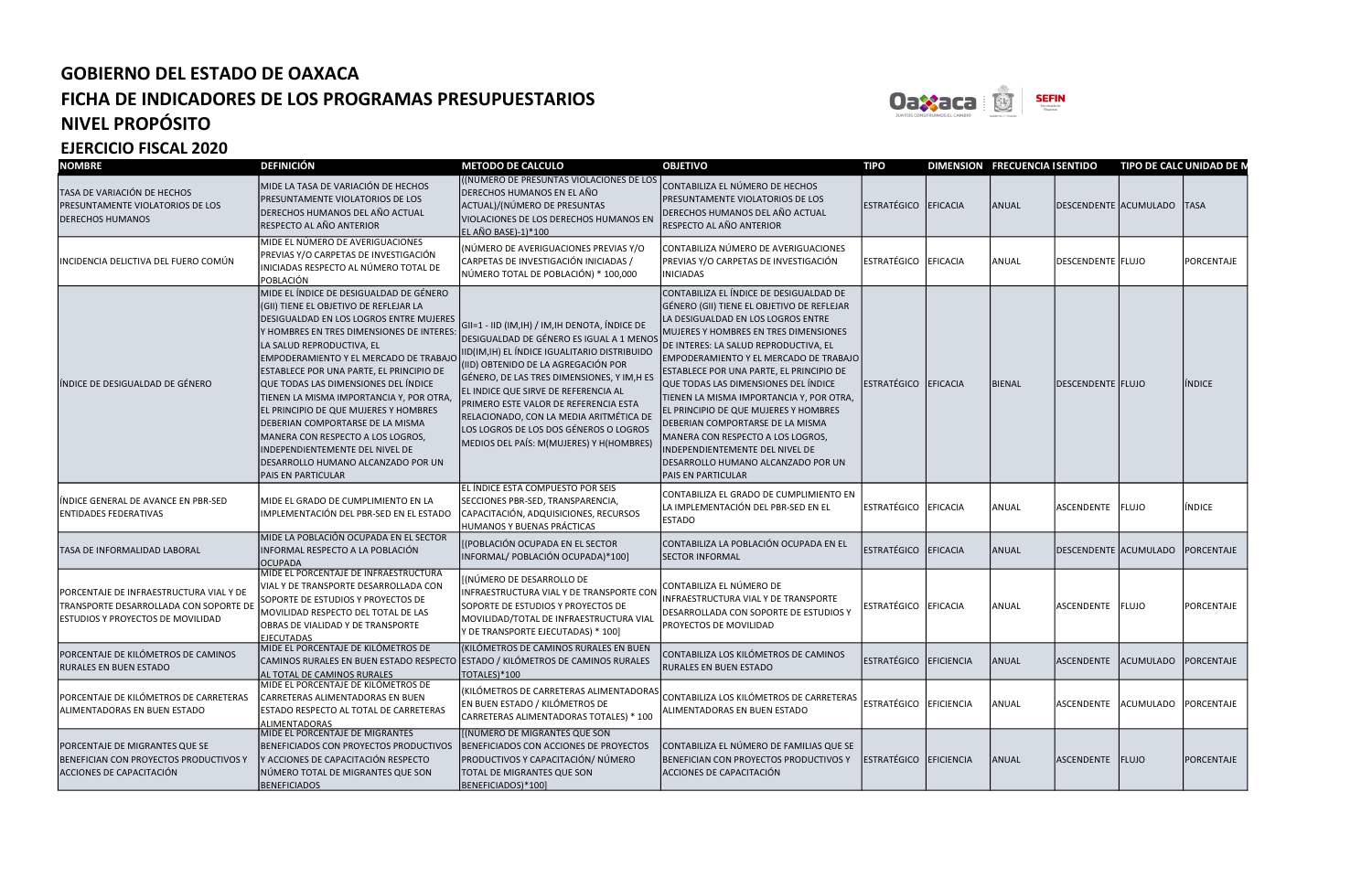

| <b>NOMBRE</b>                                                                                                                 | <b>DEFINICIÓN</b>                                                                                                                                                                                                                                                                                                                                                                                                                                                                                                                                                                                | <b>METODO DE CALCULO</b>                                                                                                                                                                                                                                                                                                                                                                                                                           | <b>OBJETIVO</b>                                                                                                                                                                                                                                                                                                                                                                                                                                                                                                                                                                                          | <b>TIPO</b>            |                 | DIMENSION FRECUENCIA ISENTIDO |                                 | TIPO DE CALC UNIDAD DE N        |                   |
|-------------------------------------------------------------------------------------------------------------------------------|--------------------------------------------------------------------------------------------------------------------------------------------------------------------------------------------------------------------------------------------------------------------------------------------------------------------------------------------------------------------------------------------------------------------------------------------------------------------------------------------------------------------------------------------------------------------------------------------------|----------------------------------------------------------------------------------------------------------------------------------------------------------------------------------------------------------------------------------------------------------------------------------------------------------------------------------------------------------------------------------------------------------------------------------------------------|----------------------------------------------------------------------------------------------------------------------------------------------------------------------------------------------------------------------------------------------------------------------------------------------------------------------------------------------------------------------------------------------------------------------------------------------------------------------------------------------------------------------------------------------------------------------------------------------------------|------------------------|-----------------|-------------------------------|---------------------------------|---------------------------------|-------------------|
| TASA DE VARIACIÓN DE HECHOS<br>PRESUNTAMENTE VIOLATORIOS DE LOS<br><b>DERECHOS HUMANOS</b>                                    | MIDE LA TASA DE VARIACIÓN DE HECHOS<br>PRESUNTAMENTE VIOLATORIOS DE LOS<br>DERECHOS HUMANOS DEL AÑO ACTUAL<br>RESPECTO AL AÑO ANTERIOR                                                                                                                                                                                                                                                                                                                                                                                                                                                           | ((NÚMERO DE PRESUNTAS VIOLACIONES DE LOS<br>DERECHOS HUMANOS EN EL AÑO<br>ACTUAL)/(NÚMERO DE PRESUNTAS<br>VIOLACIONES DE LOS DERECHOS HUMANOS EN<br>EL AÑO BASE)-1)*100                                                                                                                                                                                                                                                                            | CONTABILIZA EL NÚMERO DE HECHOS<br>PRESUNTAMENTE VIOLATORIOS DE LOS<br>DERECHOS HUMANOS DEL AÑO ACTUAL<br>RESPECTO AL AÑO ANTERIOR                                                                                                                                                                                                                                                                                                                                                                                                                                                                       | <b>ESTRATÉGICO</b>     | EFICACIA        | <b>ANUAL</b>                  | DESCENDENTE ACUMULADO TASA      |                                 |                   |
| INCIDENCIA DELICTIVA DEL FUERO COMÚN                                                                                          | MIDE EL NÚMERO DE AVERIGUACIONES<br>PREVIAS Y/O CARPETAS DE INVESTIGACIÓN<br>INICIADAS RESPECTO AL NÚMERO TOTAL DE<br>POBLACIÓN                                                                                                                                                                                                                                                                                                                                                                                                                                                                  | (NÚMERO DE AVERIGUACIONES PREVIAS Y/O<br>CARPETAS DE INVESTIGACIÓN INICIADAS /<br>NÚMERO TOTAL DE POBLACIÓN) * 100,000                                                                                                                                                                                                                                                                                                                             | CONTABILIZA NÚMERO DE AVERIGUACIONES<br>PREVIAS Y/O CARPETAS DE INVESTIGACIÓN<br>INICIADAS                                                                                                                                                                                                                                                                                                                                                                                                                                                                                                               | ESTRATÉGICO EFICACIA   |                 | ANUAL                         | DESCENDENTE FLUJO               |                                 | PORCENTAJE        |
| líndice de desigualdad de Género                                                                                              | MIDE EL ÍNDICE DE DESIGUALDAD DE GÉNERO<br>(GII) TIENE EL OBJETIVO DE REFLEJAR LA<br>DESIGUALDAD EN LOS LOGROS ENTRE MUJERES<br>Y HOMBRES EN TRES DIMENSIONES DE INTERES:<br>LA SALUD REPRODUCTIVA, EL<br>EMPODERAMIENTO Y EL MERCADO DE TRABAJC<br>ESTABLECE POR UNA PARTE, EL PRINCIPIO DE<br>QUE TODAS LAS DIMENSIONES DEL ÍNDICE<br>TIENEN LA MISMA IMPORTANCIA Y, POR OTRA,<br>EL PRINCIPIO DE QUE MUJERES Y HOMBRES<br>DEBERIAN COMPORTARSE DE LA MISMA<br>MANERA CON RESPECTO A LOS LOGROS,<br>NDEPENDIENTEMENTE DEL NIVEL DE<br>DESARROLLO HUMANO ALCANZADO POR UN<br>PAIS EN PARTICULAR | GII=1 - IID (IM,IH) / IM,IH DENOTA, ÍNDICE DE<br>DESIGUALDAD DE GÉNERO ES IGUAL A 1 MENOS<br>IID(IM, IH) EL ÍNDICE IGUALITARIO DISTRIBUIDO<br>(IID) OBTENIDO DE LA AGREGACIÓN POR<br>GÉNERO, DE LAS TRES DIMENSIONES, Y IM, H ES<br>EL INDICE QUE SIRVE DE REFERENCIA AL<br>PRIMERO ESTE VALOR DE REFERENCIA ESTA<br>RELACIONADO, CON LA MEDIA ARITMÉTICA DE<br>LOS LOGROS DE LOS DOS GÉNEROS O LOGROS<br>MEDIOS DEL PAÍS: M(MUJERES) Y H(HOMBRES) | CONTABILIZA EL ÍNDICE DE DESIGUALDAD DE<br>GÉNERO (GII) TIENE EL OBJETIVO DE REFLEJAR<br>LA DESIGUALDAD EN LOS LOGROS ENTRE<br>MUJERES Y HOMBRES EN TRES DIMENSIONES<br>DE INTERES: LA SALUD REPRODUCTIVA, EL<br>EMPODERAMIENTO Y EL MERCADO DE TRABAJO<br>ESTABLECE POR UNA PARTE, EL PRINCIPIO DE<br>QUE TODAS LAS DIMENSIONES DEL ÍNDICE<br>TIENEN LA MISMA IMPORTANCIA Y, POR OTRA,<br>EL PRINCIPIO DE QUE MUJERES Y HOMBRES<br>DEBERIAN COMPORTARSE DE LA MISMA<br>MANERA CON RESPECTO A LOS LOGROS,<br>INDEPENDIENTEMENTE DEL NIVEL DE<br>DESARROLLO HUMANO ALCANZADO POR UN<br>PAIS EN PARTICULAR | ESTRATÉGICO            | <b>EFICACIA</b> | <b>BIENAL</b>                 | <b>IDESCENDENTE FLUJO</b>       |                                 | INDICE            |
| INDICE GENERAL DE AVANCE EN PBR-SED<br><b>ENTIDADES FEDERATIVAS</b>                                                           | MIDE EL GRADO DE CUMPLIMIENTO EN LA<br>IMPLEMENTACIÓN DEL PBR-SED EN EL ESTADO                                                                                                                                                                                                                                                                                                                                                                                                                                                                                                                   | EL ÍNDICE ESTA COMPUESTO POR SEIS<br>SECCIONES PBR-SED, TRANSPARENCIA,<br>CAPACITACIÓN, ADQUISICIONES, RECURSOS<br>HUMANOS Y BUENAS PRÁCTICAS                                                                                                                                                                                                                                                                                                      | CONTABILIZA EL GRADO DE CUMPLIMIENTO EN<br>LA IMPLEMENTACIÓN DEL PBR-SED EN EL<br><b>ESTADO</b>                                                                                                                                                                                                                                                                                                                                                                                                                                                                                                          | ESTRATÉGICO EFICACIA   |                 | ANUAL                         | ASCENDENTE FLUJO                |                                 | INDICE            |
| TASA DE INFORMALIDAD LABORAL                                                                                                  | MIDE LA POBLACIÓN OCUPADA EN EL SECTOR<br>INFORMAL RESPECTO A LA POBLACIÓN<br><b>OCUPADA</b>                                                                                                                                                                                                                                                                                                                                                                                                                                                                                                     | [(POBLACIÓN OCUPADA EN EL SECTOR<br>INFORMAL/ POBLACIÓN OCUPADA)*100]                                                                                                                                                                                                                                                                                                                                                                              | CONTABILIZA LA POBLACIÓN OCUPADA EN EL<br><b>SECTOR INFORMAL</b>                                                                                                                                                                                                                                                                                                                                                                                                                                                                                                                                         | <b>ESTRATÉGICO</b>     | EFICACIA        | ANUAL                         | DESCENDENTE ACUMULADO           |                                 | <b>PORCENTAJE</b> |
| PORCENTAJE DE INFRAESTRUCTURA VIAL Y DE<br>TRANSPORTE DESARROLLADA CON SOPORTE DE<br><b>ESTUDIOS Y PROYECTOS DE MOVILIDAD</b> | MIDE EL PORCENTAJE DE INFRAESTRUCTURA<br>VIAL Y DE TRANSPORTE DESARROLLADA CON<br>SOPORTE DE ESTUDIOS Y PROYECTOS DE<br>MOVILIDAD RESPECTO DEL TOTAL DE LAS<br>OBRAS DE VIALIDAD Y DE TRANSPORTE<br><b>EJECUTADAS</b>                                                                                                                                                                                                                                                                                                                                                                            | [(NÚMERO DE DESARROLLO DE<br>INFRAESTRUCTURA VIAL Y DE TRANSPORTE CON<br>SOPORTE DE ESTUDIOS Y PROYECTOS DE<br>MOVILIDAD/TOTAL DE INFRAESTRUCTURA VIAI<br>Y DE TRANSPORTE EJECUTADAS) * 100]                                                                                                                                                                                                                                                       | CONTABILIZA EL NÚMERO DE<br>INFRAESTRUCTURA VIAL Y DE TRANSPORTE<br>DESARROLLADA CON SOPORTE DE ESTUDIOS Y<br>PROYECTOS DE MOVILIDAD                                                                                                                                                                                                                                                                                                                                                                                                                                                                     | ESTRATÉGICO EFICACIA   |                 | ANUAL                         | ASCENDENTE FLUJO                |                                 | PORCENTAJE        |
| PORCENTAJE DE KILÓMETROS DE CAMINOS<br><b>RURALES EN BUEN ESTADO</b>                                                          | MIDE EL PORCENTAJE DE KILÓMETROS DE<br>CAMINOS RURALES EN BUEN ESTADO RESPECTO ESTADO / KILÓMETROS DE CAMINOS RURALES<br>AL TOTAL DE CAMINOS RURALES                                                                                                                                                                                                                                                                                                                                                                                                                                             | (KILÓMETROS DE CAMINOS RURALES EN BUEN<br>TOTALES)*100                                                                                                                                                                                                                                                                                                                                                                                             | CONTABILIZA LOS KILÓMETROS DE CAMINOS<br><b>RURALES EN BUEN ESTADO</b>                                                                                                                                                                                                                                                                                                                                                                                                                                                                                                                                   | ESTRATÉGICO EFICIENCIA |                 | ANUAL                         |                                 | ASCENDENTE ACUMULADO PORCENTAJE |                   |
| PORCENTAJE DE KILÓMETROS DE CARRETERAS<br>ALIMENTADORAS EN BUEN ESTADO                                                        | MIDE EL PORCENTAJE DE KILÓMETROS DE<br>CARRETERAS ALIMENTADORAS EN BUEN<br>ESTADO RESPECTO AL TOTAL DE CARRETERAS<br><b>ALIMENTADORAS</b>                                                                                                                                                                                                                                                                                                                                                                                                                                                        | (KILÓMETROS DE CARRETERAS ALIMENTADORAS<br>EN BUEN ESTADO / KILÓMETROS DE<br>CARRETERAS ALIMENTADORAS TOTALES) * 100                                                                                                                                                                                                                                                                                                                               | CONTABILIZA LOS KILÓMETROS DE CARRETERAS<br>ALIMENTADORAS EN BUEN ESTADO                                                                                                                                                                                                                                                                                                                                                                                                                                                                                                                                 | ESTRATÉGICO EFICIENCIA |                 | ANUAL                         | ASCENDENTE ACUMULADO PORCENTAJE |                                 |                   |
| PORCENTAJE DE MIGRANTES QUE SE<br>BENEFICIAN CON PROYECTOS PRODUCTIVOS Y<br>ACCIONES DE CAPACITACIÓN                          | MIDE EL PORCENTAJE DE MIGRANTES<br>BENEFICIADOS CON PROYECTOS PRODUCTIVOS<br>Y ACCIONES DE CAPACITACIÓN RESPECTO<br>NÚMERO TOTAL DE MIGRANTES QUE SON<br><b>BENEFICIADOS</b>                                                                                                                                                                                                                                                                                                                                                                                                                     | [(NÚMERO DE MIGRANTES QUE SON<br>BENEFICIADOS CON ACCIONES DE PROYECTOS<br>PRODUCTIVOS Y CAPACITACIÓN/ NÚMERO<br>TOTAL DE MIGRANTES QUE SON<br>BENEFICIADOS)*100]                                                                                                                                                                                                                                                                                  | CONTABILIZA EL NÚMERO DE FAMILIAS QUE SE<br>BENEFICIAN CON PROYECTOS PRODUCTIVOS Y<br>ACCIONES DE CAPACITACIÓN                                                                                                                                                                                                                                                                                                                                                                                                                                                                                           | ESTRATÉGICO EFICIENCIA |                 | ANUAL                         | ASCENDENTE FLUJO                |                                 | PORCENTAJE        |



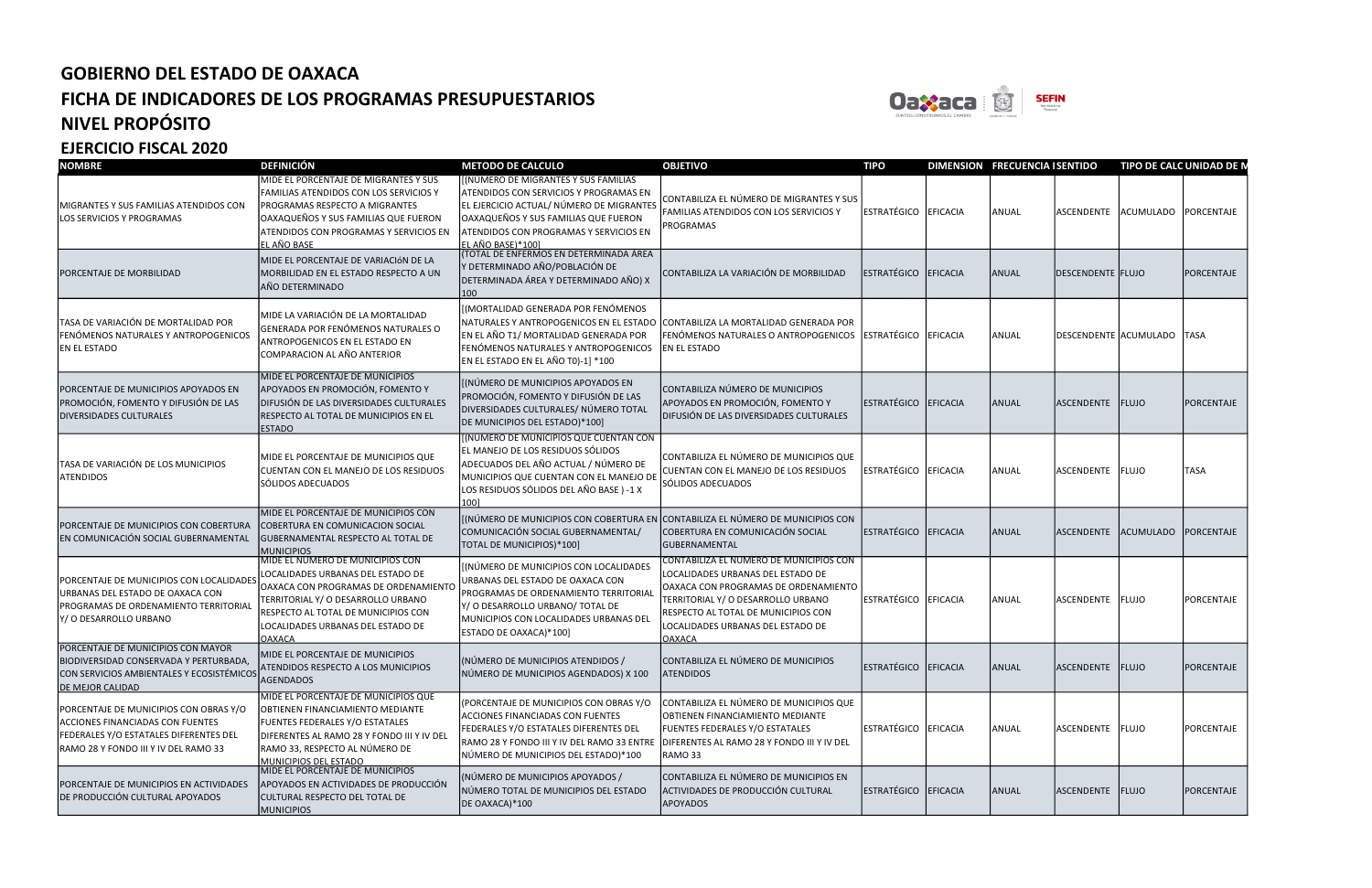

| <b>NOMBRE</b>                                                                                                                                                       | <b>DEFINICIÓN</b>                                                                                                                                                                                                                                | <b>METODO DE CALCULO</b>                                                                                                                                                                                                                 | <b>OBJETIVO</b>                                                                                                                                                                                                                                         | <b>TIPO</b>          |          | <b>DIMENSION FRECUENCIA ISENTIDO</b> |                            | TIPO DE CALC UNIDAD DE N |                   |
|---------------------------------------------------------------------------------------------------------------------------------------------------------------------|--------------------------------------------------------------------------------------------------------------------------------------------------------------------------------------------------------------------------------------------------|------------------------------------------------------------------------------------------------------------------------------------------------------------------------------------------------------------------------------------------|---------------------------------------------------------------------------------------------------------------------------------------------------------------------------------------------------------------------------------------------------------|----------------------|----------|--------------------------------------|----------------------------|--------------------------|-------------------|
| MIGRANTES Y SUS FAMILIAS ATENDIDOS CON<br><b>LOS SERVICIOS Y PROGRAMAS</b>                                                                                          | MIDE EL PORCENTAJE DE MIGRANTES Y SUS<br>FAMILIAS ATENDIDOS CON LOS SERVICIOS Y<br>PROGRAMAS RESPECTO A MIGRANTES<br>OAXAQUEÑOS Y SUS FAMILIAS QUE FUERON<br>ATENDIDOS CON PROGRAMAS Y SERVICIOS EN<br><u>EL AÑO BASE_</u>                       | [(NÚMERO DE MIGRANTES Y SUS FAMILIAS<br>ATENDIDOS CON SERVICIOS Y PROGRAMAS EN<br>EL EJERCICIO ACTUAL/ NÚMERO DE MIGRANTES<br>OAXAQUEÑOS Y SUS FAMILIAS QUE FUERON<br>ATENDIDOS CON PROGRAMAS Y SERVICIOS EN<br><u>EL AÑO BASE)*100]</u> | CONTABILIZA EL NÚMERO DE MIGRANTES Y SUS<br><b>FAMILIAS ATENDIDOS CON LOS SERVICIOS Y</b><br>PROGRAMAS                                                                                                                                                  | ESTRATÉGICO EFICACIA |          | ANUAL                                | <b>ASCENDENTE</b>          | ACUMULADO PORCENTAJE     |                   |
| PORCENTAJE DE MORBILIDAD                                                                                                                                            | MIDE EL PORCENTAJE DE VARIACIÓN DE LA<br>MORBILIDAD EN EL ESTADO RESPECTO A UN<br>AÑO DETERMINADO                                                                                                                                                | (TOTAL DE ENFERMOS EN DETERMINADA ÁREA<br>Y DETERMINADO AÑO/POBLACIÓN DE<br>DETERMINADA ÁREA Y DETERMINADO AÑO) X<br>100                                                                                                                 | CONTABILIZA LA VARIACIÓN DE MORBILIDAD                                                                                                                                                                                                                  | ESTRATÉGICO EFICACIA |          | ANUAL                                | DESCENDENTE FLUJO          |                          | PORCENTAJE        |
| TASA DE VARIACIÓN DE MORTALIDAD POR<br>FENÓMENOS NATURALES Y ANTROPOGENICOS<br><b>EN EL ESTADO</b>                                                                  | MIDE LA VARIACIÓN DE LA MORTALIDAD<br>GENERADA POR FENÓMENOS NATURALES O<br>ANTROPOGENICOS EN EL ESTADO EN<br>COMPARACION AL AÑO ANTERIOR                                                                                                        | [(MORTALIDAD GENERADA POR FENÓMENOS<br>NATURALES Y ANTROPOGENICOS EN EL ESTADO<br>EN EL AÑO T1/ MORTALIDAD GENERADA POR<br>FENÓMENOS NATURALES Y ANTROPOGENICOS<br>EN EL ESTADO EN EL AÑO T0)-1] *100                                    | CONTABILIZA LA MORTALIDAD GENERADA POR<br>FENÓMENOS NATURALES O ANTROPOGENICOS<br><b>EN EL ESTADO</b>                                                                                                                                                   | <b>ESTRATÉGICO</b>   | EFICACIA | ANUAL                                | DESCENDENTE ACUMULADO TASA |                          |                   |
| PORCENTAJE DE MUNICIPIOS APOYADOS EN<br>PROMOCIÓN, FOMENTO Y DIFUSIÓN DE LAS<br><b>DIVERSIDADES CULTURALES</b>                                                      | MIDE EL PORCENTAJE DE MUNICIPIOS<br>APOYADOS EN PROMOCIÓN, FOMENTO Y<br>DIFUSIÓN DE LAS DIVERSIDADES CULTURALES<br>RESPECTO AL TOTAL DE MUNICIPIOS EN EL<br><b>ESTADO</b>                                                                        | [(NÚMERO DE MUNICIPIOS APOYADOS EN<br>PROMOCIÓN, FOMENTO Y DIFUSIÓN DE LAS<br>DIVERSIDADES CULTURALES/ NÚMERO TOTAL<br>DE MUNICIPIOS DEL ESTADO)*100]                                                                                    | CONTABILIZA NÚMERO DE MUNICIPIOS<br>APOYADOS EN PROMOCIÓN, FOMENTO Y<br>DIFUSIÓN DE LAS DIVERSIDADES CULTURALES                                                                                                                                         | ESTRATÉGICO EFICACIA |          | ANUAL                                | ASCENDENTE FLUJO           |                          | <b>PORCENTAJE</b> |
| TASA DE VARIACIÓN DE LOS MUNICIPIOS<br><b>ATENDIDOS</b>                                                                                                             | MIDE EL PORCENTAJE DE MUNICIPIOS QUE<br>CUENTAN CON EL MANEJO DE LOS RESIDUOS<br>SÓLIDOS ADECUADOS                                                                                                                                               | (NÚMERO DE MUNICIPIOS QUE CUENTAN CON<br>EL MANEJO DE LOS RESIDUOS SÓLIDOS<br>ADECUADOS DEL AÑO ACTUAL / NÚMERO DE<br>MUNICIPIOS QUE CUENTAN CON EL MANEJO DI<br>LOS RESIDUOS SÓLIDOS DEL AÑO BASE) -1 X<br>1001                         | CONTABILIZA EL NÚMERO DE MUNICIPIOS QUE<br>CUENTAN CON EL MANEJO DE LOS RESIDUOS<br>SÓLIDOS ADECUADOS                                                                                                                                                   | ESTRATÉGICO EFICACIA |          | ANUAL                                | ASCENDENTE FLUJO           |                          | <b>TASA</b>       |
| PORCENTAJE DE MUNICIPIOS CON COBERTURA<br>EN COMUNICACIÓN SOCIAL GUBERNAMENTAL                                                                                      | MIDE EL PORCENTAJE DE MUNICIPIOS CON<br>COBERTURA EN COMUNICACION SOCIAL<br>GUBERNAMENTAL RESPECTO AL TOTAL DE<br><b>MUNICIPIOS</b>                                                                                                              | COMUNICACIÓN SOCIAL GUBERNAMENTAL/<br>TOTAL DE MUNICIPIOS)*100]                                                                                                                                                                          | [(NÚMERO DE MUNICIPIOS CON COBERTURA EN CONTABILIZA EL NÚMERO DE MUNICIPIOS CON<br>COBERTURA EN COMUNICACIÓN SOCIAL<br>GUBERNAMENTAL                                                                                                                    | ESTRATÉGICO EFICACIA |          | ANUAL                                | ASCENDENTE                 | <b>ACUMULADO</b>         | PORCENTAJE        |
| PORCENTAJE DE MUNICIPIOS CON LOCALIDADES<br>URBANAS DEL ESTADO DE OAXACA CON<br>PROGRAMAS DE ORDENAMIENTO TERRITORIAL<br>Y/O DESARROLLO URBANO                      | MIDE EL NUMERO DE MUNICIPIOS CON<br>LOCALIDADES URBANAS DEL ESTADO DE<br>OAXACA CON PROGRAMAS DE ORDENAMIENTO<br>TERRITORIAL Y/ O DESARROLLO URBANO<br>RESPECTO AL TOTAL DE MUNICIPIOS CON<br>LOCALIDADES URBANAS DEL ESTADO DE<br><b>OAXACA</b> | [(NÚMERO DE MUNICIPIOS CON LOCALIDADES<br>URBANAS DEL ESTADO DE OAXACA CON<br>PROGRAMAS DE ORDENAMIENTO TERRITORIAI<br>Y/ O DESARROLLO URBANO/ TOTAL DE<br>MUNICIPIOS CON LOCALIDADES URBANAS DE<br>ESTADO DE OAXACA)*100]               | CONTABILIZA EL NÚMERO DE MUNICIPIOS CON<br>LOCALIDADES URBANAS DEL ESTADO DE<br>OAXACA CON PROGRAMAS DE ORDENAMIENTO<br>TERRITORIAL Y/ O DESARROLLO URBANO<br>RESPECTO AL TOTAL DE MUNICIPIOS CON<br>LOCALIDADES URBANAS DEL ESTADO DE<br><b>OAXACA</b> | ESTRATÉGICO EFICACIA |          | ANUAL                                | ASCENDENTE FLUJO           |                          | PORCENTAJE        |
| PORCENTAJE DE MUNICIPIOS CON MAYOR<br> BIODIVERSIDAD CONSERVADA Y PERTURBADA,<br>CON SERVICIOS AMBIENTALES Y ECOSISTÉMICOS<br><b>DE MEJOR CALIDAD</b>               | MIDE EL PORCENTAJE DE MUNICIPIOS<br>ATENDIDOS RESPECTO A LOS MUNICIPIOS<br><b>AGENDADOS</b>                                                                                                                                                      | (NÚMERO DE MUNICIPIOS ATENDIDOS /<br>NÚMERO DE MUNICIPIOS AGENDADOS) X 100                                                                                                                                                               | CONTABILIZA EL NÚMERO DE MUNICIPIOS<br><b>ATENDIDOS</b>                                                                                                                                                                                                 | ESTRATÉGICO EFICACIA |          | ANUAL                                | ASCENDENTE FLUJO           |                          | PORCENTAJE        |
| PORCENTAJE DE MUNICIPIOS CON OBRAS Y/O<br>ACCIONES FINANCIADAS CON FUENTES<br><b>FEDERALES Y/O ESTATALES DIFERENTES DEL</b><br>RAMO 28 Y FONDO III Y IV DEL RAMO 33 | MIDE EL PORCENTAJE DE MUNICIPIOS QUE<br>OBTIENEN FINANCIAMIENTO MEDIANTE<br>FUENTES FEDERALES Y/O ESTATALES<br>DIFERENTES AL RAMO 28 Y FONDO III Y IV DEL<br>RAMO 33, RESPECTO AL NÚMERO DE<br>MUNICIPIOS DEL ESTADO                             | (PORCENTAJE DE MUNICIPIOS CON OBRAS Y/O<br>ACCIONES FINANCIADAS CON FUENTES<br>FEDERALES Y/O ESTATALES DIFERENTES DEL<br>RAMO 28 Y FONDO III Y IV DEL RAMO 33 ENTRE<br>NÚMERO DE MUNICIPIOS DEL ESTADO)*100                              | CONTABILIZA EL NÚMERO DE MUNICIPIOS QUE<br>OBTIENEN FINANCIAMIENTO MEDIANTE<br><b>FUENTES FEDERALES Y/O ESTATALES</b><br>DIFERENTES AL RAMO 28 Y FONDO III Y IV DEL<br>RAMO 33                                                                          | ESTRATÉGICO EFICACIA |          | ANUAL                                | ASCENDENTE FLUJO           |                          | PORCENTAJE        |
| PORCENTAJE DE MUNICIPIOS EN ACTIVIDADES<br>DE PRODUCCIÓN CULTURAL APOYADOS                                                                                          | MIDE EL PORCENTAJE DE MUNICIPIOS<br>APOYADOS EN ACTIVIDADES DE PRODUCCIÓN<br>CULTURAL RESPECTO DEL TOTAL DE<br><b>MUNICIPIOS</b>                                                                                                                 | (NÚMERO DE MUNICIPIOS APOYADOS /<br>NÚMERO TOTAL DE MUNICIPIOS DEL ESTADO<br>DE OAXACA)*100                                                                                                                                              | CONTABILIZA EL NÚMERO DE MUNICIPIOS EN<br>ACTIVIDADES DE PRODUCCIÓN CULTURAL<br>APOYADOS                                                                                                                                                                | ESTRATÉGICO EFICACIA |          | ANUAL                                | ASCENDENTE FLUJO           |                          | PORCENTAJE        |



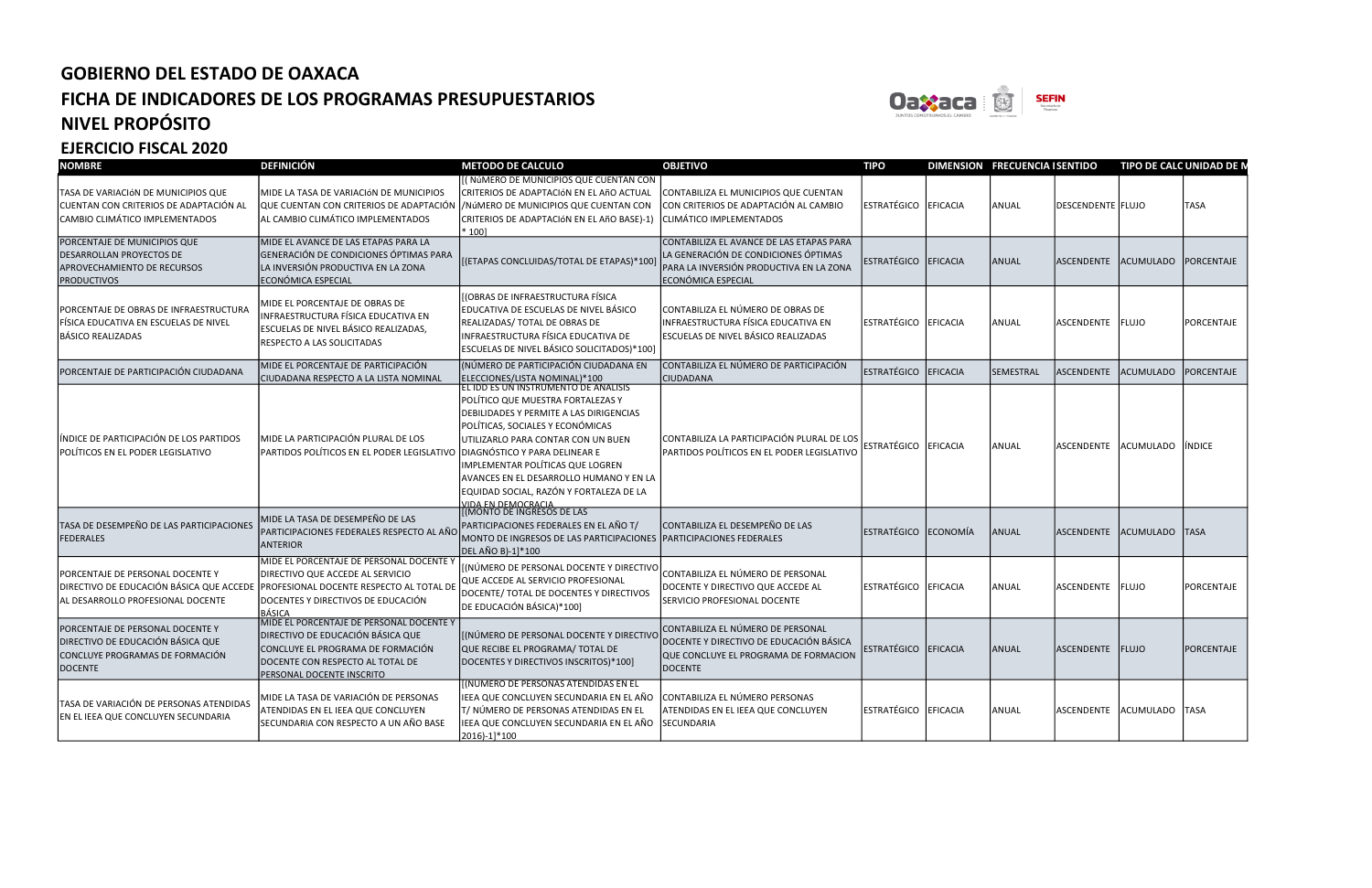

| <b>NOMBRE</b>                                                                                                       | <b>DEFINICIÓN</b>                                                                                                                                                                                                        | <b>METODO DE CALCULO</b>                                                                                                                                                                                                                                                                                                                                                                      | <b>OBJETIVO</b>                                                                                                                                   | <b>TIPO</b>           |                 | DIMENSION FRECUENCIA I SENTIDO |                      | <b>TIPO DE CALC UNIDAD DE N</b> |                   |
|---------------------------------------------------------------------------------------------------------------------|--------------------------------------------------------------------------------------------------------------------------------------------------------------------------------------------------------------------------|-----------------------------------------------------------------------------------------------------------------------------------------------------------------------------------------------------------------------------------------------------------------------------------------------------------------------------------------------------------------------------------------------|---------------------------------------------------------------------------------------------------------------------------------------------------|-----------------------|-----------------|--------------------------------|----------------------|---------------------------------|-------------------|
| TASA DE VARIACIÓN DE MUNICIPIOS QUE<br>CUENTAN CON CRITERIOS DE ADAPTACIÓN AL<br>CAMBIO CLIMÁTICO IMPLEMENTADOS     | MIDE LA TASA DE VARIACIÓN DE MUNICIPIOS<br>QUE CUENTAN CON CRITERIOS DE ADAPTACIÓN<br>AL CAMBIO CLIMÁTICO IMPLEMENTADOS                                                                                                  | [(NÚMERO DE MUNICIPIOS QUE CUENTAN CON<br>CRITERIOS DE ADAPTACIÓN EN EL AñO ACTUAL<br>/NÚMERO DE MUNICIPIOS QUE CUENTAN CON<br>CRITERIOS DE ADAPTACIÓN EN EL AñO BASE)-1)<br>$*100$                                                                                                                                                                                                           | CONTABILIZA EL MUNICIPIOS QUE CUENTAN<br>CON CRITERIOS DE ADAPTACIÓN AL CAMBIO<br>CLIMÁTICO IMPLEMENTADOS                                         | ESTRATÉGICO EFICACIA  |                 | ANUAL                          | DESCENDENTE FELUJO   |                                 | <b>TASA</b>       |
| PORCENTAJE DE MUNICIPIOS QUE<br>DESARROLLAN PROYECTOS DE<br>APROVECHAMIENTO DE RECURSOS<br><b>PRODUCTIVOS</b>       | MIDE EL AVANCE DE LAS ETAPAS PARA LA<br>GENERACIÓN DE CONDICIONES ÓPTIMAS PARA<br>LA INVERSIÓN PRODUCTIVA EN LA ZONA<br>ECONÓMICA ESPECIAL                                                                               | [(ETAPAS CONCLUIDAS/TOTAL DE ETAPAS)*100]                                                                                                                                                                                                                                                                                                                                                     | CONTABILIZA EL AVANCE DE LAS ETAPAS PARA<br>LA GENERACIÓN DE CONDICIONES ÓPTIMAS<br>PARA LA INVERSIÓN PRODUCTIVA EN LA ZONA<br>ECONÓMICA ESPECIAL | ESTRATÉGICO           | <b>EFICACIA</b> | <b>ANUAL</b>                   | ASCENDENTE           | <b>ACUMULADO</b>                | <b>PORCENTAJE</b> |
| PORCENTAJE DE OBRAS DE INFRAESTRUCTURA<br>FÍSICA EDUCATIVA EN ESCUELAS DE NIVEL<br>BÁSICO REALIZADAS                | MIDE EL PORCENTAJE DE OBRAS DE<br>INFRAESTRUCTURA FÍSICA EDUCATIVA EN<br>ESCUELAS DE NIVEL BÁSICO REALIZADAS,<br>RESPECTO A LAS SOLICITADAS                                                                              | [(OBRAS DE INFRAESTRUCTURA FÍSICA<br>EDUCATIVA DE ESCUELAS DE NIVEL BÁSICO<br>REALIZADAS/ TOTAL DE OBRAS DE<br>INFRAESTRUCTURA FÍSICA EDUCATIVA DE<br>ESCUELAS DE NIVEL BÁSICO SOLICITADOS)*100]                                                                                                                                                                                              | CONTABILIZA EL NÚMERO DE OBRAS DE<br>INFRAESTRUCTURA FÍSICA EDUCATIVA EN<br>ESCUELAS DE NIVEL BÁSICO REALIZADAS                                   | ESTRATÉGICO           | <b>EFICACIA</b> | ANUAL                          | <b>ASCENDENTE</b>    | <b>FLUJO</b>                    | <b>PORCENTAJE</b> |
| PORCENTAJE DE PARTICIPACIÓN CIUDADANA                                                                               | MIDE EL PORCENTAJE DE PARTICIPACIÓN<br>CIUDADANA RESPECTO A LA LISTA NOMINAL                                                                                                                                             | (NÚMERO DE PARTICIPACIÓN CIUDADANA EN<br>ELECCIONES/LISTA NOMINAL)*100                                                                                                                                                                                                                                                                                                                        | CONTABILIZA EL NÚMERO DE PARTICIPACIÓN<br><b>CIUDADANA</b>                                                                                        | ESTRATÉGICO           | <b>EFICACIA</b> | SEMESTRAL                      | <b>ASCENDENTE</b>    | <b>CUMULADO</b>                 | PORCENTAJE        |
| ÍNDICE DE PARTICIPACIÓN DE LOS PARTIDOS<br>POLÍTICOS EN EL PODER LEGISLATIVO                                        | MIDE LA PARTICIPACIÓN PLURAL DE LOS<br>PARTIDOS POLÍTICOS EN EL PODER LEGISLATIVO                                                                                                                                        | <u>EL IDD ES UN INSTRUMENTO DE ANALISIS</u><br>POLÍTICO QUE MUESTRA FORTALEZAS Y<br>DEBILIDADES Y PERMITE A LAS DIRIGENCIAS<br>POLÍTICAS, SOCIALES Y ECONÓMICAS<br>UTILIZARLO PARA CONTAR CON UN BUEN<br>DIAGNÓSTICO Y PARA DELINEAR E<br>IMPLEMENTAR POLÍTICAS QUE LOGREN<br>AVANCES EN EL DESARROLLO HUMANO Y EN LA<br>EQUIDAD SOCIAL, RAZÓN Y FORTALEZA DE LA<br><u>IIDA EN DEMOCRACIA</u> | CONTABILIZA LA PARTICIPACIÓN PLURAL DE LOS<br>PARTIDOS POLÍTICOS EN EL PODER LEGISLATIVO                                                          | ESTRATÉGICO           | <b>EFICACIA</b> | ANUAL                          | ASCENDENTE           | ACUMULADO                       | <b>INDICE</b>     |
| TASA DE DESEMPEÑO DE LAS PARTICIPACIONES<br><b>FEDERALES</b>                                                        | MIDE LA TASA DE DESEMPEÑO DE LAS<br>PARTICIPACIONES FEDERALES RESPECTO AL AÑO<br><b>ANTERIOR</b>                                                                                                                         | [(MONTO DE INGRESOS DE LAS<br>PARTICIPACIONES FEDERALES EN EL AÑO T/<br>MONTO DE INGRESOS DE LAS PARTICIPACIONES   PARTICIPACIONES FEDERALES<br>DEL AÑO B)-1]*100                                                                                                                                                                                                                             | CONTABILIZA EL DESEMPEÑO DE LAS                                                                                                                   | ESTRATÉGICO           | ECONOMÍA        | <b>ANUAL</b>                   | <b>ASCENDENTE</b>    | <b>CUMULADO</b>                 | <b>TASA</b>       |
| PORCENTAJE DE PERSONAL DOCENTE Y<br>AL DESARROLLO PROFESIONAL DOCENTE                                               | MIDE EL PORCENTAJE DE PERSONAL DOCENTE Y<br>DIRECTIVO QUE ACCEDE AL SERVICIO<br>DIRECTIVO DE EDUCACIÓN BÁSICA QUE ACCEDE PROFESIONAL DOCENTE RESPECTO AL TOTAL DE<br>DOCENTES Y DIRECTIVOS DE EDUCACIÓN<br><b>BÁSICA</b> | [(NÚMERO DE PERSONAL DOCENTE Y DIRECTIVO<br>QUE ACCEDE AL SERVICIO PROFESIONAL<br>DOCENTE/ TOTAL DE DOCENTES Y DIRECTIVOS<br>DE EDUCACIÓN BÁSICA)*100]                                                                                                                                                                                                                                        | CONTABILIZA EL NÚMERO DE PERSONAL<br>DOCENTE Y DIRECTIVO QUE ACCEDE AL<br>SERVICIO PROFESIONAL DOCENTE                                            | ESTRATÉGICO           | EFICACIA        | <b>ANUAL</b>                   | ASCENDENTE FLUJO     |                                 | <b>PORCENTAJE</b> |
| PORCENTAJE DE PERSONAL DOCENTE Y<br>DIRECTIVO DE EDUCACIÓN BÁSICA QUE<br>CONCLUYE PROGRAMAS DE FORMACIÓN<br>DOCENTE | MIDE EL PORCENTAJE DE PERSONAL DOCENTE Y<br>DIRECTIVO DE EDUCACIÓN BÁSICA QUE<br>CONCLUYE EL PROGRAMA DE FORMACIÓN<br>DOCENTE CON RESPECTO AL TOTAL DE<br>PERSONAL DOCENTE INSCRITO                                      | [(NÚMERO DE PERSONAL DOCENTE Y DIRECTIVO<br>QUE RECIBE EL PROGRAMA/ TOTAL DE<br>DOCENTES Y DIRECTIVOS INSCRITOS)*100]                                                                                                                                                                                                                                                                         | CONTABILIZA EL NÚMERO DE PERSONAL<br>DOCENTE Y DIRECTIVO DE EDUCACIÓN BÁSICA<br>QUE CONCLUYE EL PROGRAMA DE FORMACION<br><b>DOCENTE</b>           | ESTRATÉGICO  EFICACIA |                 | <b>ANUAL</b>                   | ASCENDENTE FLUJO     |                                 | PORCENTAJE        |
| TASA DE VARIACIÓN DE PERSONAS ATENDIDAS<br>EN EL IEEA QUE CONCLUYEN SECUNDARIA                                      | MIDE LA TASA DE VARIACIÓN DE PERSONAS<br>ATENDIDAS EN EL IEEA QUE CONCLUYEN<br>SECUNDARIA CON RESPECTO A UN AÑO BASE                                                                                                     | <b>[(NÚMERO DE PERSONAS ATENDIDAS EN EL</b><br>IEEA QUE CONCLUYEN SECUNDARIA EN EL AÑO<br>T/ NÚMERO DE PERSONAS ATENDIDAS EN EL<br>IEEA QUE CONCLUYEN SECUNDARIA EN EL AÑO<br>2016)-1]*100                                                                                                                                                                                                    | CONTABILIZA EL NÚMERO PERSONAS<br>ATENDIDAS EN EL IEEA QUE CONCLUYEN<br><b>SECUNDARIA</b>                                                         | ESTRATÉGICO           | <b>EFICACIA</b> | <b>ANUAL</b>                   | ASCENDENTE ACUMULADO |                                 | <b>TASA</b>       |



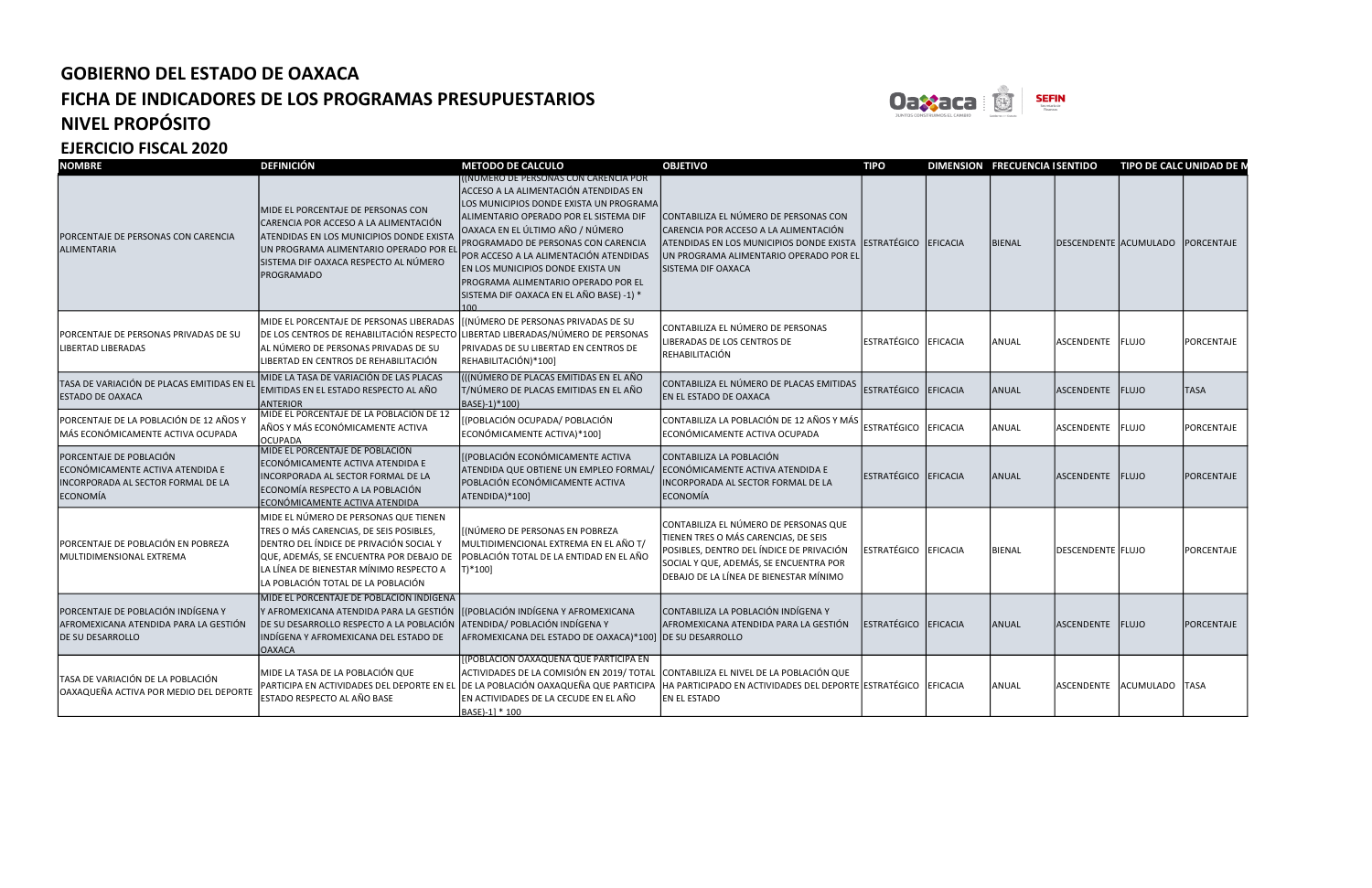

| <b>NOMBRE</b>                                                                                                 | <b>DEFINICIÓN</b>                                                                                                                                                                                                                                       | <b>METODO DE CALCULO</b>                                                                                                                                                                                                                                                                                                                                                                                        | <b>OBJETIVO</b>                                                                                                                                                                                               | <b>TIPO</b>          | <b>DIMENSION FRECUENCIA I SENTIDO</b> |                          | TIPO DE CALC UNIDAD DE N |                   |
|---------------------------------------------------------------------------------------------------------------|---------------------------------------------------------------------------------------------------------------------------------------------------------------------------------------------------------------------------------------------------------|-----------------------------------------------------------------------------------------------------------------------------------------------------------------------------------------------------------------------------------------------------------------------------------------------------------------------------------------------------------------------------------------------------------------|---------------------------------------------------------------------------------------------------------------------------------------------------------------------------------------------------------------|----------------------|---------------------------------------|--------------------------|--------------------------|-------------------|
| PORCENTAJE DE PERSONAS CON CARENCIA<br>ALIMENTARIA                                                            | MIDE EL PORCENTAJE DE PERSONAS CON<br>CARENCIA POR ACCESO A LA ALIMENTACIÓN<br>ATENDIDAS EN LOS MUNICIPIOS DONDE EXISTA<br>UN PROGRAMA ALIMENTARIO OPERADO POR EL<br>SISTEMA DIF OAXACA RESPECTO AL NÚMERO<br><b>PROGRAMADO</b>                         | (NUMERO DE PERSONAS CON CARENCIA POR<br>ACCESO A LA ALIMENTACIÓN ATENDIDAS EN<br>LOS MUNICIPIOS DONDE EXISTA UN PROGRAMA<br>ALIMENTARIO OPERADO POR EL SISTEMA DIF<br>OAXACA EN EL ÚLTIMO AÑO / NÚMERO<br>PROGRAMADO DE PERSONAS CON CARENCIA<br>POR ACCESO A LA ALIMENTACIÓN ATENDIDAS<br>EN LOS MUNICIPIOS DONDE EXISTA UN<br>PROGRAMA ALIMENTARIO OPERADO POR EL<br>SISTEMA DIF OAXACA EN EL AÑO BASE) -1) * | CONTABILIZA EL NÚMERO DE PERSONAS CON<br>CARENCIA POR ACCESO A LA ALIMENTACIÓN<br>ATENDIDAS EN LOS MUNICIPIOS DONDE EXISTA<br>UN PROGRAMA ALIMENTARIO OPERADO POR EL<br>SISTEMA DIF OAXACA                    | ESTRATÉGICO EFICACIA | BIENAL                                | DESCENDENTE  ACUMULADO   |                          | PORCENTAJE        |
| PORCENTAJE DE PERSONAS PRIVADAS DE SU<br><b>LIBERTAD LIBERADAS</b>                                            | MIDE EL PORCENTAJE DE PERSONAS LIBERADAS<br>DE LOS CENTROS DE REHABILITACIÓN RESPECTO<br>AL NÚMERO DE PERSONAS PRIVADAS DE SU<br>LIBERTAD EN CENTROS DE REHABILITACIÓN                                                                                  | [(NÚMERO DE PERSONAS PRIVADAS DE SU<br>LIBERTAD LIBERADAS/NÚMERO DE PERSONAS<br>PRIVADAS DE SU LIBERTAD EN CENTROS DE<br>REHABILITACIÓN)*100]                                                                                                                                                                                                                                                                   | CONTABILIZA EL NÚMERO DE PERSONAS<br>LIBERADAS DE LOS CENTROS DE<br>REHABILITACIÓN                                                                                                                            | ESTRATÉGICO EFICACIA | <b>ANUAL</b>                          | ASCENDENTE FLUJO         |                          | PORCENTAJE        |
| TASA DE VARIACIÓN DE PLACAS EMITIDAS EN EL<br><b>ESTADO DE OAXACA</b>                                         | MIDE LA TASA DE VARIACIÓN DE LAS PLACAS<br>EMITIDAS EN EL ESTADO RESPECTO AL AÑO<br><b>ANTERIOR</b>                                                                                                                                                     | (((NÚMERO DE PLACAS EMITIDAS EN EL AÑO<br>T/NÚMERO DE PLACAS EMITIDAS EN EL AÑO<br>BASE)-1)*100)                                                                                                                                                                                                                                                                                                                | CONTABILIZA EL NÚMERO DE PLACAS EMITIDAS<br>EN EL ESTADO DE OAXACA                                                                                                                                            | ESTRATÉGICO EFICACIA | <b>ANUAL</b>                          | <b>ASCENDENTE</b>        | <b>FLUJO</b>             | <b>TASA</b>       |
| PORCENTAJE DE LA POBLACIÓN DE 12 AÑOS Y<br>MÁS ECONÓMICAMENTE ACTIVA OCUPADA                                  | MIDE EL PORCENTAJE DE LA POBLACIÓN DE 12<br>AÑOS Y MÁS ECONÓMICAMENTE ACTIVA<br><b>OCUPADA</b>                                                                                                                                                          | [(POBLACIÓN OCUPADA/ POBLACIÓN<br>ECONÓMICAMENTE ACTIVA)*100]                                                                                                                                                                                                                                                                                                                                                   | CONTABILIZA LA POBLACIÓN DE 12 AÑOS Y MÁS<br>ECONÓMICAMENTE ACTIVA OCUPADA                                                                                                                                    | ESTRATÉGICO EFICACIA | ANUAL                                 | ASCENDENTE FLUJO         |                          | <b>PORCENTAJE</b> |
| PORCENTAJE DE POBLACIÓN<br>ECONÓMICAMENTE ACTIVA ATENDIDA E<br>INCORPORADA AL SECTOR FORMAL DE LA<br>ECONOMÍA | MIDE EL PORCENTAJE DE POBLACIÓN<br>ECONÓMICAMENTE ACTIVA ATENDIDA E<br>INCORPORADA AL SECTOR FORMAL DE LA<br>ECONOMÍA RESPECTO A LA POBLACIÓN<br>ECONÓMICAMENTE ACTIVA ATENDIDA                                                                         | [(POBLACIÓN ECONÓMICAMENTE ACTIVA<br>ATENDIDA QUE OBTIENE UN EMPLEO FORMAL/<br>POBLACIÓN ECONÓMICAMENTE ACTIVA<br>ATENDIDA)*100]                                                                                                                                                                                                                                                                                | CONTABILIZA LA POBLACIÓN<br>ECONÓMICAMENTE ACTIVA ATENDIDA E<br>INCORPORADA AL SECTOR FORMAL DE LA<br>ECONOMÍA                                                                                                | ESTRATÉGICO EFICACIA | ANUAL                                 | ASCENDENTE FLUJO         |                          | PORCENTAJE        |
| PORCENTAJE DE POBLACIÓN EN POBREZA<br>MULTIDIMENSIONAL EXTREMA                                                | MIDE EL NÚMERO DE PERSONAS QUE TIENEN<br>TRES O MÁS CARENCIAS, DE SEIS POSIBLES,<br>DENTRO DEL ÍNDICE DE PRIVACIÓN SOCIAL Y<br>QUE, ADEMÁS, SE ENCUENTRA POR DEBAJO DE<br>LA LÍNEA DE BIENESTAR MÍNIMO RESPECTO A<br>LA POBLACIÓN TOTAL DE LA POBLACIÓN | [(NÚMERO DE PERSONAS EN POBREZA<br>MULTIDIMENCIONAL EXTREMA EN EL AÑO T/<br>POBLACIÓN TOTAL DE LA ENTIDAD EN EL AÑO<br>T)*100]                                                                                                                                                                                                                                                                                  | CONTABILIZA EL NÚMERO DE PERSONAS QUE<br>TIENEN TRES O MÁS CARENCIAS, DE SEIS<br>POSIBLES, DENTRO DEL ÍNDICE DE PRIVACIÓN<br>SOCIAL Y QUE, ADEMÁS, SE ENCUENTRA POR<br>DEBAJO DE LA LÍNEA DE BIENESTAR MÍNIMO | ESTRATÉGICO EFICACIA | <b>BIENAL</b>                         | <b>DESCENDENTE FLUJO</b> |                          | PORCENTAJE        |
| PORCENTAJE DE POBLACIÓN INDÍGENA Y<br>AFROMEXICANA ATENDIDA PARA LA GESTIÓN<br>DE SU DESARROLLO               | MIDE EL PORCENTAJE DE POBLACIÓN INDÍGENA<br>Y AFROMEXICANA ATENDIDA PARA LA GESTIÓN<br>DE SU DESARROLLO RESPECTO A LA POBLACIÓN<br>INDÍGENA Y AFROMEXICANA DEL ESTADO DE<br><b>OAXACA</b>                                                               | [(POBLACIÓN INDÍGENA Y AFROMEXICANA<br>ATENDIDA/ POBLACIÓN INDÍGENA Y<br>AFROMEXICANA DEL ESTADO DE OAXACA)*100] DE SU DESARROLLO                                                                                                                                                                                                                                                                               | CONTABILIZA LA POBLACIÓN INDÍGENA Y<br>AFROMEXICANA ATENDIDA PARA LA GESTIÓN                                                                                                                                  | ESTRATÉGICO EFICACIA | ANUAL                                 | ASCENDENTE FLUJO         |                          | PORCENTAJE        |
| TASA DE VARIACIÓN DE LA POBLACIÓN<br>OAXAQUEÑA ACTIVA POR MEDIO DEL DEPORTE                                   | MIDE LA TASA DE LA POBLACIÓN QUE<br>PARTICIPA EN ACTIVIDADES DEL DEPORTE EN EL<br>ESTADO RESPECTO AL AÑO BASE                                                                                                                                           | [(POBLACIÓN OAXAQUEÑA QUE PARTICIPA EN<br>ACTIVIDADES DE LA COMISIÓN EN 2019/TOTAL CONTABILIZA EL NIVEL DE LA POBLACIÓN QUE<br>EN ACTIVIDADES DE LA CECUDE EN EL AÑO<br>BASE)-1] * 100                                                                                                                                                                                                                          | DE LA POBLACIÓN OAXAQUEÑA QUE PARTICIPA  HA PARTICIPADO EN ACTIVIDADES DEL DEPORTE ESTRATÉGICO  EFICACIA<br>EN EL ESTADO                                                                                      |                      | ANUAL                                 | ASCENDENTE ACUMULADO     |                          | <b>TASA</b>       |

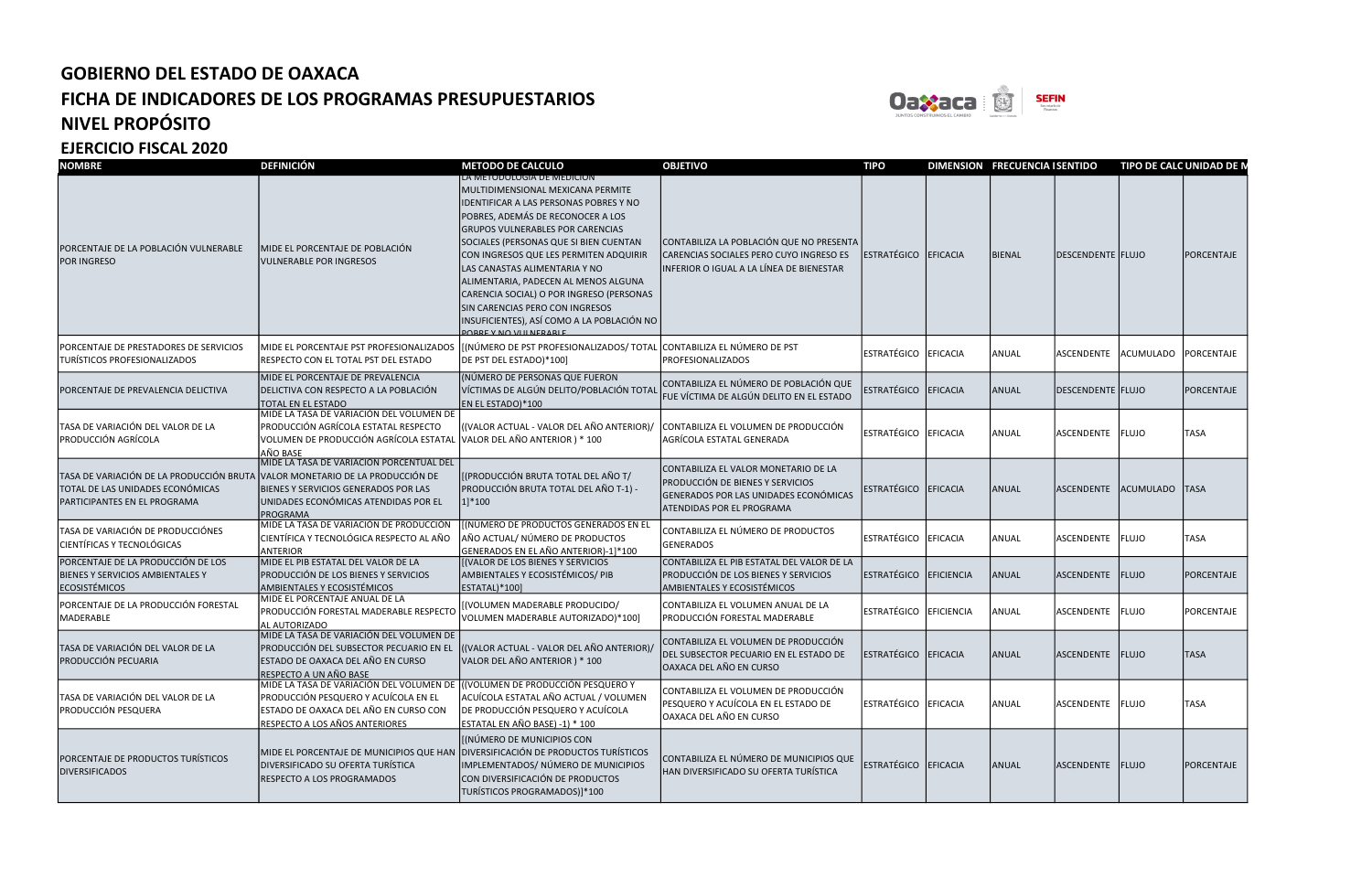

EJERCICIO FISCAL 2020

| <b>NOMBRE</b>                                                                                                | <b>DEFINICIÓN</b>                                                                                                                                                           | <b>METODO DE CALCULO</b>                                                                                                                                                                                                                                                                                                                                                                                                                                                                                                   | <b>OBJETIVO</b>                                                                                                                                              | <b>TIPO</b>          |            | DIMENSION FRECUENCIA I SENTIDO |                   | TIPO DE CALC UNIDAD DE N |             |
|--------------------------------------------------------------------------------------------------------------|-----------------------------------------------------------------------------------------------------------------------------------------------------------------------------|----------------------------------------------------------------------------------------------------------------------------------------------------------------------------------------------------------------------------------------------------------------------------------------------------------------------------------------------------------------------------------------------------------------------------------------------------------------------------------------------------------------------------|--------------------------------------------------------------------------------------------------------------------------------------------------------------|----------------------|------------|--------------------------------|-------------------|--------------------------|-------------|
| PORCENTAJE DE LA POBLACIÓN VULNERABLE<br><b>POR INGRESO</b>                                                  | MIDE EL PORCENTAJE DE POBLACIÓN<br><b>VULNERABLE POR INGRESOS</b>                                                                                                           | <u>LA METODOLOGIA DE MEDICION</u><br>MULTIDIMENSIONAL MEXICANA PERMITE<br>IDENTIFICAR A LAS PERSONAS POBRES Y NO<br>POBRES, ADEMÁS DE RECONOCER A LOS<br><b>GRUPOS VULNERABLES POR CARENCIAS</b><br>SOCIALES (PERSONAS QUE SI BIEN CUENTAN<br>CON INGRESOS QUE LES PERMITEN ADQUIRIR<br>LAS CANASTAS ALIMENTARIA Y NO<br>ALIMENTARIA, PADECEN AL MENOS ALGUNA<br>CARENCIA SOCIAL) O POR INGRESO (PERSONAS<br>SIN CARENCIAS PERO CON INGRESOS<br>INSUFICIENTES), ASÍ COMO A LA POBLACIÓN NO<br><b>ORRE V NO VILLNERARLE</b> | CONTABILIZA LA POBLACIÓN QUE NO PRESENTA<br>CARENCIAS SOCIALES PERO CUYO INGRESO ES<br>INFERIOR O IGUAL A LA LÍNEA DE BIENESTAR                              | ESTRATÉGICO          | EFICACIA   | <b>BIENAL</b>                  | DESCENDENTE FLUJO |                          | PORCENTAJE  |
| PORCENTAJE DE PRESTADORES DE SERVICIOS<br>TURÍSTICOS PROFESIONALIZADOS                                       | MIDE EL PORCENTAJE PST PROFESIONALIZADOS<br>RESPECTO CON EL TOTAL PST DEL ESTADO                                                                                            | [(NÚMERO DE PST PROFESIONALIZADOS/ TOTAL CONTABILIZA EL NÚMERO DE PST<br>DE PST DEL ESTADO)*100]                                                                                                                                                                                                                                                                                                                                                                                                                           | PROFESIONALIZADOS                                                                                                                                            | ESTRATÉGICO EFICACIA |            | ANUAL                          | ASCENDENTE        | ACUMULADO PORCENTAJE     |             |
| PORCENTAJE DE PREVALENCIA DELICTIVA                                                                          | MIDE EL PORCENTAJE DE PREVALENCIA<br>DELICTIVA CON RESPECTO A LA POBLACIÓN<br>TOTAL EN EL ESTADO                                                                            | (NÚMERO DE PERSONAS QUE FUERON<br>VÍCTIMAS DE ALGÚN DELITO/POBLACIÓN TOTAL<br>EN EL ESTADO)*100                                                                                                                                                                                                                                                                                                                                                                                                                            | CONTABILIZA EL NÚMERO DE POBLACIÓN QUE<br>FUE VÍCTIMA DE ALGÚN DELITO EN EL ESTADO                                                                           | ESTRATÉGICO          | EFICACIA   | ANUAL                          | DESCENDENTE FLUJO |                          | PORCENTAJE  |
| TASA DE VARIACIÓN DEL VALOR DE LA<br>PRODUCCIÓN AGRÍCOLA                                                     | MIDE LA TASA DE VARIACIÓN DEL VOLUMEN DE<br>PRODUCCIÓN AGRÍCOLA ESTATAL RESPECTO<br>VOLUMEN DE PRODUCCIÓN AGRÍCOLA ESTATAL<br>AÑO BASE                                      | ((VALOR ACTUAL - VALOR DEL AÑO ANTERIOR)/<br>VALOR DEL AÑO ANTERIOR ) * 100                                                                                                                                                                                                                                                                                                                                                                                                                                                | CONTABILIZA EL VOLUMEN DE PRODUCCIÓN<br>AGRÍCOLA ESTATAL GENERADA                                                                                            | ESTRATÉGICO EFICACIA |            | ANUAL                          | ASCENDENTE FLUJO  |                          | <b>TASA</b> |
| TASA DE VARIACIÓN DE LA PRODUCCIÓN BRUTA<br>TOTAL DE LAS UNIDADES ECONÓMICAS<br>PARTICIPANTES EN EL PROGRAMA | MIDE LA TASA DE VARIACIÓN PORCENTUAL DEL<br>VALOR MONETARIO DE LA PRODUCCIÓN DE<br>BIENES Y SERVICIOS GENERADOS POR LAS<br>UNIDADES ECONÓMICAS ATENDIDAS POR EL<br>PROGRAMA | (PRODUCCIÓN BRUTA TOTAL DEL AÑO T/<br>PRODUCCIÓN BRUTA TOTAL DEL AÑO T-1) -<br>1]*100                                                                                                                                                                                                                                                                                                                                                                                                                                      | CONTABILIZA EL VALOR MONETARIO DE LA<br><b>PRODUCCIÓN DE BIENES Y SERVICIOS</b><br>GENERADOS POR LAS UNIDADES ECONÓMICAS<br><b>ATENDIDAS POR EL PROGRAMA</b> | ESTRATÉGICO          | EFICACIA   | ANUAL                          | <b>ASCENDENTE</b> | ACUMULADO TASA           |             |
| TASA DE VARIACIÓN DE PRODUCCIÓNES<br>CIENTÍFICAS Y TECNOLÓGICAS                                              | MIDE LA TASA DE VARIACIÓN DE PRODUCCIÓN<br>CIENTÍFICA Y TECNOLÓGICA RESPECTO AL AÑO<br><b>ANTERIOR</b>                                                                      | [(NÚMERO DE PRODUCTOS GENERADOS EN EL<br>AÑO ACTUAL/ NÚMERO DE PRODUCTOS<br>GENERADOS EN EL AÑO ANTERIOR)-1]*100                                                                                                                                                                                                                                                                                                                                                                                                           | CONTABILIZA EL NÚMERO DE PRODUCTOS<br>GENERADOS                                                                                                              | <b>ESTRATÉGICO</b>   | EFICACIA   | ANUAL                          | <b>ASCENDENTE</b> | FLUJO                    | <b>TASA</b> |
| PORCENTAJE DE LA PRODUCCIÓN DE LOS<br>BIENES Y SERVICIOS AMBIENTALES Y<br><b>ECOSISTÉMICOS</b>               | MIDE EL PIB ESTATAL DEL VALOR DE LA<br>PRODUCCIÓN DE LOS BIENES Y SERVICIOS<br>AMBIENTALES Y ECOSISTÉMICOS                                                                  | (VALOR DE LOS BIENES Y SERVICIOS<br>AMBIENTALES Y ECOSISTÉMICOS/ PIB<br>ESTATAL)*100]                                                                                                                                                                                                                                                                                                                                                                                                                                      | CONTABILIZA EL PIB ESTATAL DEL VALOR DE LA<br>PRODUCCIÓN DE LOS BIENES Y SERVICIOS<br>AMBIENTALES Y ECOSISTÉMICOS                                            | <b>ESTRATÉGICO</b>   | EFICIENCIA | ANUAL                          | ASCENDENTE FLUJO  |                          | PORCENTAJE  |
| PORCENTAJE DE LA PRODUCCIÓN FORESTAL<br>MADERABLE                                                            | MIDE EL PORCENTAJE ANUAL DE LA<br>PRODUCCIÓN FORESTAL MADERABLE RESPECTO<br>AL AUTORIZADO                                                                                   | (VOLUMEN MADERABLE PRODUCIDO/<br>VOLUMEN MADERABLE AUTORIZADO)*100]                                                                                                                                                                                                                                                                                                                                                                                                                                                        | CONTABILIZA EL VOLUMEN ANUAL DE LA<br>PRODUCCIÓN FORESTAL MADERABLE                                                                                          | <b>ESTRATÉGICO</b>   | EFICIENCIA | ANUAL                          | ASCENDENTE        | <b>FLUJO</b>             | PORCENTAJE  |
| TASA DE VARIACIÓN DEL VALOR DE LA<br>PRODUCCIÓN PECUARIA                                                     | MIDE LA TASA DE VARIACIÓN DEL VOLUMEN DE<br>PRODUCCIÓN DEL SUBSECTOR PECUARIO EN EL<br>ESTADO DE OAXACA DEL AÑO EN CURSO<br>RESPECTO A UN AÑO BASE                          | ((VALOR ACTUAL - VALOR DEL AÑO ANTERIOR)/<br>VALOR DEL AÑO ANTERIOR ) * 100                                                                                                                                                                                                                                                                                                                                                                                                                                                | CONTABILIZA EL VOLUMEN DE PRODUCCIÓN<br>DEL SUBSECTOR PECUARIO EN EL ESTADO DE<br>OAXACA DEL AÑO EN CURSO                                                    | ESTRATÉGICO EFICACIA |            | <b>ANUAL</b>                   | ASCENDENTE FLUJO  |                          | <b>TASA</b> |
| TASA DE VARIACIÓN DEL VALOR DE LA<br>PRODUCCIÓN PESQUERA                                                     | MIDE LA TASA DE VARIACIÓN DEL VOLUMEN DE<br>PRODUCCIÓN PESQUERO Y ACUÍCOLA EN EL<br>ESTADO DE OAXACA DEL AÑO EN CURSO CON<br>RESPECTO A LOS AÑOS ANTERIORES                 | (VOLUMEN DE PRODUCCIÓN PESQUERO Y<br>ACUÍCOLA ESTATAL AÑO ACTUAL / VOLUMEN<br>DE PRODUCCIÓN PESQUERO Y ACUÍCOLA<br>ESTATAL EN AÑO BASE) -1) * 100                                                                                                                                                                                                                                                                                                                                                                          | CONTABILIZA EL VOLUMEN DE PRODUCCIÓN<br>PESQUERO Y ACUÍCOLA EN EL ESTADO DE<br>OAXACA DEL AÑO EN CURSO                                                       | ESTRATÉGICO EFICACIA |            | ANUAL                          | ASCENDENTE FLUJO  |                          | <b>TASA</b> |
| PORCENTAJE DE PRODUCTOS TURÍSTICOS<br><b>DIVERSIFICADOS</b>                                                  | MIDE EL PORCENTAJE DE MUNICIPIOS QUE HAN<br>DIVERSIFICADO SU OFERTA TURÍSTICA<br>RESPECTO A LOS PROGRAMADOS                                                                 | [(NÚMERO DE MUNICIPIOS CON<br>DIVERSIFICACIÓN DE PRODUCTOS TURÍSTICOS<br>IMPLEMENTADOS/ NÚMERO DE MUNICIPIOS<br>CON DIVERSIFICACIÓN DE PRODUCTOS<br>TURÍSTICOS PROGRAMADOS)]*100                                                                                                                                                                                                                                                                                                                                           | CONTABILIZA EL NÚMERO DE MUNICIPIOS QUE<br>HAN DIVERSIFICADO SU OFERTA TURÍSTICA                                                                             | ESTRATÉGICO EFICACIA |            | ANUAL                          | ASCENDENTE FLUJO  |                          | PORCENTAJE  |

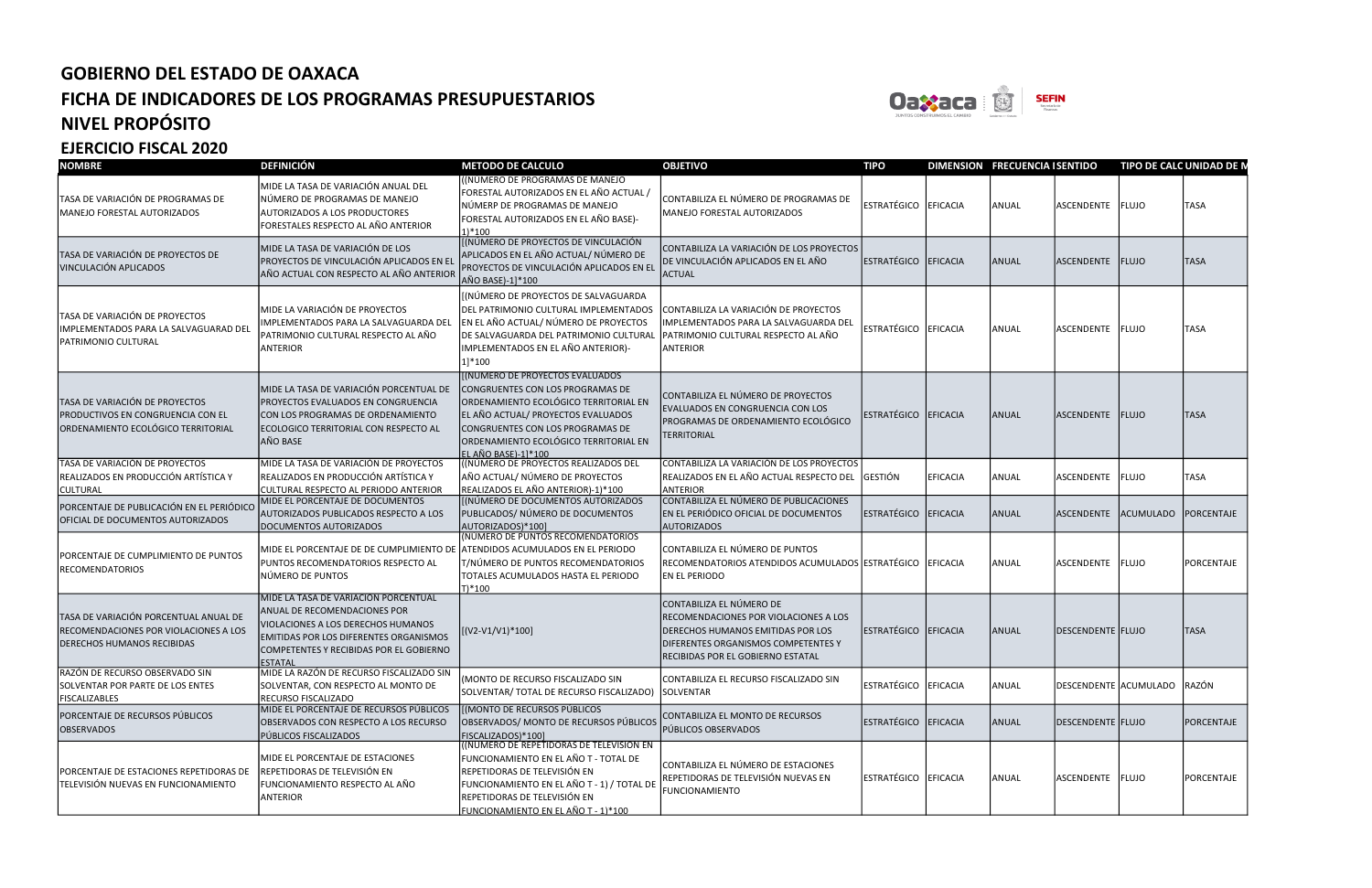

| <b>NOMBRE</b>                                                                                                       | <b>DEFINICIÓN</b>                                                                                                                                                                                                        | <b>METODO DE CALCULO</b>                                                                                                                                                                                                                               | <b>OBJETIVO</b>                                                                                                                                                                    | <b>TIPO</b>          |                 | DIMENSION FRECUENCIA ISENTIDO |                       | <b>TIPO DE CALC UNIDAD DE N</b> |                   |
|---------------------------------------------------------------------------------------------------------------------|--------------------------------------------------------------------------------------------------------------------------------------------------------------------------------------------------------------------------|--------------------------------------------------------------------------------------------------------------------------------------------------------------------------------------------------------------------------------------------------------|------------------------------------------------------------------------------------------------------------------------------------------------------------------------------------|----------------------|-----------------|-------------------------------|-----------------------|---------------------------------|-------------------|
| TASA DE VARIACIÓN DE PROGRAMAS DE<br>MANEJO FORESTAL AUTORIZADOS                                                    | MIDE LA TASA DE VARIACIÓN ANUAL DEL<br>NÚMERO DE PROGRAMAS DE MANEJO<br>AUTORIZADOS A LOS PRODUCTORES<br>FORESTALES RESPECTO AL AÑO ANTERIOR                                                                             | ((NÚMERO DE PROGRAMAS DE MANEJO<br>FORESTAL AUTORIZADOS EN EL AÑO ACTUAL /<br>NÚMERP DE PROGRAMAS DE MANEJO<br>FORESTAL AUTORIZADOS EN EL AÑO BASE)-<br>$1)*100$                                                                                       | CONTABILIZA EL NÚMERO DE PROGRAMAS DE<br>MANEJO FORESTAL AUTORIZADOS                                                                                                               | ESTRATÉGICO EFICACIA |                 | ANUAL                         | ASCENDENTE FLUJO      |                                 | <b>TASA</b>       |
| TASA DE VARIACIÓN DE PROYECTOS DE<br>VINCULACIÓN APLICADOS                                                          | MIDE LA TASA DE VARIACIÓN DE LOS<br>PROYECTOS DE VINCULACIÓN APLICADOS EN EL<br>AÑO ACTUAL CON RESPECTO AL AÑO ANTERIOR                                                                                                  | [(NÚMERO DE PROYECTOS DE VINCULACIÓN<br>APLICADOS EN EL AÑO ACTUAL/ NÚMERO DE<br>PROYECTOS DE VINCULACIÓN APLICADOS EN EL<br>AÑO BASE)-1]*100                                                                                                          | CONTABILIZA LA VARIACIÓN DE LOS PROYECTOS<br>DE VINCULACIÓN APLICADOS EN EL AÑO<br><b>ACTUAL</b>                                                                                   | ESTRATÉGICO EFICACIA |                 | ANUAL                         | ASCENDENTE FLUJO      |                                 | <b>TASA</b>       |
| TASA DE VARIACIÓN DE PROYECTOS<br>IMPLEMENTADOS PARA LA SALVAGUARAD DEL<br>PATRIMONIO CULTURAL                      | MIDE LA VARIACIÓN DE PROYECTOS<br>IMPLEMENTADOS PARA LA SALVAGUARDA DEL<br>PATRIMONIO CULTURAL RESPECTO AL AÑO<br>ANTERIOR                                                                                               | [(NÚMERO DE PROYECTOS DE SALVAGUARDA<br>DEL PATRIMONIO CULTURAL IMPLEMENTADOS<br>EN EL AÑO ACTUAL/ NÚMERO DE PROYECTOS<br>DE SALVAGUARDA DEL PATRIMONIO CULTURAL<br>IMPLEMENTADOS EN EL AÑO ANTERIOR)-<br>1]*100                                       | CONTABILIZA LA VARIACIÓN DE PROYECTOS<br>IMPLEMENTADOS PARA LA SALVAGUARDA DEL<br>PATRIMONIO CULTURAL RESPECTO AL AÑO<br><b>ANTERIOR</b>                                           | ESTRATÉGICO EFICACIA |                 | ANUAL                         | ASCENDENTE FLUJO      |                                 | <b>TASA</b>       |
| TASA DE VARIACIÓN DE PROYECTOS<br>PRODUCTIVOS EN CONGRUENCIA CON EL<br>ORDENAMIENTO ECOLÓGICO TERRITORIAL           | MIDE LA TASA DE VARIACIÓN PORCENTUAL DE<br>PROYECTOS EVALUADOS EN CONGRUENCIA<br>CON LOS PROGRAMAS DE ORDENAMIENTO<br>ECOLOGICO TERRITORIAL CON RESPECTO AL<br>AÑO BASE                                                  | [(NUMERO DE PROYECTOS EVALUADOS<br>CONGRUENTES CON LOS PROGRAMAS DE<br>ORDENAMIENTO ECOLÓGICO TERRITORIAL EN<br>EL AÑO ACTUAL/ PROYECTOS EVALUADOS<br>CONGRUENTES CON LOS PROGRAMAS DE<br>ORDENAMIENTO ECOLÓGICO TERRITORIAL EN<br>EL AÑO BASE)-1]*100 | CONTABILIZA EL NÚMERO DE PROYECTOS<br>EVALUADOS EN CONGRUENCIA CON LOS<br>PROGRAMAS DE ORDENAMIENTO ECOLÓGICO<br><b>TERRITORIAL</b>                                                | ESTRATÉGICO EFICACIA |                 | ANUAL                         | ASCENDENTE FLUJO      |                                 | <b>TASA</b>       |
| TASA DE VARIACIÓN DE PROYECTOS<br>REALIZADOS EN PRODUCCIÓN ARTÍSTICA Y<br><b>CULTURAL</b>                           | MIDE LA TASA DE VARIACIÓN DE PROYECTOS<br>REALIZADOS EN PRODUCCIÓN ARTÍSTICA Y<br>CULTURAL RESPECTO AL PERIODO ANTERIOR                                                                                                  | ((NÚMERO DE PROYECTOS REALIZADOS DEL<br>AÑO ACTUAL/ NÚMERO DE PROYECTOS<br>REALIZADOS EL AÑO ANTERIOR)-1)*100                                                                                                                                          | CONTABILIZA LA VARIACIÓN DE LOS PROYECTOS<br>REALIZADOS EN EL AÑO ACTUAL RESPECTO DEL<br><b>ANTERIOR</b>                                                                           | <b>GESTIÓN</b>       | <b>EFICACIA</b> | ANUAL                         | ASCENDENTE FLUJO      |                                 | <b>TASA</b>       |
| PORCENTAJE DE PUBLICACIÓN EN EL PERIÓDICO<br>OFICIAL DE DOCUMENTOS AUTORIZADOS                                      | MIDE EL PORCENTAJE DE DOCUMENTOS<br>AUTORIZADOS PUBLICADOS RESPECTO A LOS<br>DOCUMENTOS AUTORIZADOS                                                                                                                      | [(NÚMERO DE DOCUMENTOS AUTORIZADOS<br>PUBLICADOS/ NÚMERO DE DOCUMENTOS<br>AUTORIZADOS)*100]                                                                                                                                                            | CONTABILIZA EL NÚMERO DE PUBLICACIONES<br>EN EL PERIÓDICO OFICIAL DE DOCUMENTOS<br><b>AUTORIZADOS</b>                                                                              | ESTRATÉGICO EFICACIA |                 | ANUAL                         | ASCENDENTE ACUMULADO  |                                 | <b>PORCENTAJE</b> |
| PORCENTAJE DE CUMPLIMIENTO DE PUNTOS<br><b>RECOMENDATORIOS</b>                                                      | MIDE EL PORCENTAJE DE DE CUMPLIMIENTO DE<br>PUNTOS RECOMENDATORIOS RESPECTO AL<br>NÚMERO DE PUNTOS                                                                                                                       | (NÚMERO DE PUNTOS RECOMENDATORIOS<br>ATENDIDOS ACUMULADOS EN EL PERIODO<br>T/NÚMERO DE PUNTOS RECOMENDATORIOS<br>TOTALES ACUMULADOS HASTA EL PERIODO<br>$T$ <sup>*100</sup>                                                                            | CONTABILIZA EL NÚMERO DE PUNTOS<br>RECOMENDATORIOS ATENDIDOS ACUMULADOS ESTRATÉGICO FEFICACIA<br><b>EN EL PERIODO</b>                                                              |                      |                 | ANUAL                         | ASCENDENTE FLUJO      |                                 | PORCENTAJE        |
| TASA DE VARIACIÓN PORCENTUAL ANUAL DE<br>RECOMENDACIONES POR VIOLACIONES A LOS<br><b>DERECHOS HUMANOS RECIBIDAS</b> | MIDE LA TASA DE VARIACIÓN PORCENTUAL<br><b>ANUAL DE RECOMENDACIONES POR</b><br>VIOLACIONES A LOS DERECHOS HUMANOS<br>EMITIDAS POR LOS DIFERENTES ORGANISMOS<br>COMPETENTES Y RECIBIDAS POR EL GOBIERNO<br><b>ESTATAL</b> | [(V2-V1/V1)*100]                                                                                                                                                                                                                                       | CONTABILIZA EL NÚMERO DE<br>RECOMENDACIONES POR VIOLACIONES A LOS<br>DERECHOS HUMANOS EMITIDAS POR LOS<br>DIFERENTES ORGANISMOS COMPETENTES Y<br>RECIBIDAS POR EL GOBIERNO ESTATAL | ESTRATÉGICO EFICACIA |                 | ANUAL                         | DESCENDENTE FLUJO     |                                 | <b>TASA</b>       |
| RAZÓN DE RECURSO OBSERVADO SIN<br>SOLVENTAR POR PARTE DE LOS ENTES<br><b>FISCALIZABLES</b>                          | MIDE LA RAZÓN DE RECURSO FISCALIZADO SIN<br>SOLVENTAR, CON RESPECTO AL MONTO DE<br>RECURSO FISCALIZADO                                                                                                                   | (MONTO DE RECURSO FISCALIZADO SIN<br>SOLVENTAR/ TOTAL DE RECURSO FISCALIZADO)                                                                                                                                                                          | CONTABILIZA EL RECURSO FISCALIZADO SIN<br><b>SOLVENTAR</b>                                                                                                                         | ESTRATÉGICO EFICACIA |                 | ANUAL                         | DESCENDENTE ACUMULADO |                                 | RAZÓN             |
| PORCENTAJE DE RECURSOS PÚBLICOS<br><b>OBSERVADOS</b>                                                                | MIDE EL PORCENTAJE DE RECURSOS PÚBLICOS<br>OBSERVADOS CON RESPECTO A LOS RECURSO<br>PÚBLICOS FISCALIZADOS                                                                                                                | [(MONTO DE RECURSOS PÚBLICOS<br>OBSERVADOS/ MONTO DE RECURSOS PÚBLICOS<br>FISCALIZADOS)*100]                                                                                                                                                           | CONTABILIZA EL MONTO DE RECURSOS<br>PÚBLICOS OBSERVADOS                                                                                                                            | ESTRATÉGICO EFICACIA |                 | ANUAL                         | DESCENDENTE FLUJO     |                                 | PORCENTAJE        |
| PORCENTAJE DE ESTACIONES REPETIDORAS DE<br>TELEVISIÓN NUEVAS EN FUNCIONAMIENTO                                      | MIDE EL PORCENTAJE DE ESTACIONES<br>REPETIDORAS DE TELEVISIÓN EN<br>FUNCIONAMIENTO RESPECTO AL AÑO<br><b>ANTERIOR</b>                                                                                                    | (NÚMERO DE REPETIDORAS DE TELEVISIÓN EN<br>FUNCIONAMIENTO EN EL AÑO T - TOTAL DE<br>REPETIDORAS DE TELEVISIÓN EN<br>FUNCIONAMIENTO EN EL AÑO T - 1) / TOTAL DE<br>REPETIDORAS DE TELEVISIÓN EN<br>FUNCIONAMIENTO EN EL AÑO T - 1)*100                  | CONTABILIZA EL NÚMERO DE ESTACIONES<br>REPETIDORAS DE TELEVISIÓN NUEVAS EN<br>FUNCIONAMIENTO                                                                                       | ESTRATÉGICO EFICACIA |                 | <b>ANUAL</b>                  | ASCENDENTE FLUJO      |                                 | PORCENTAJE        |



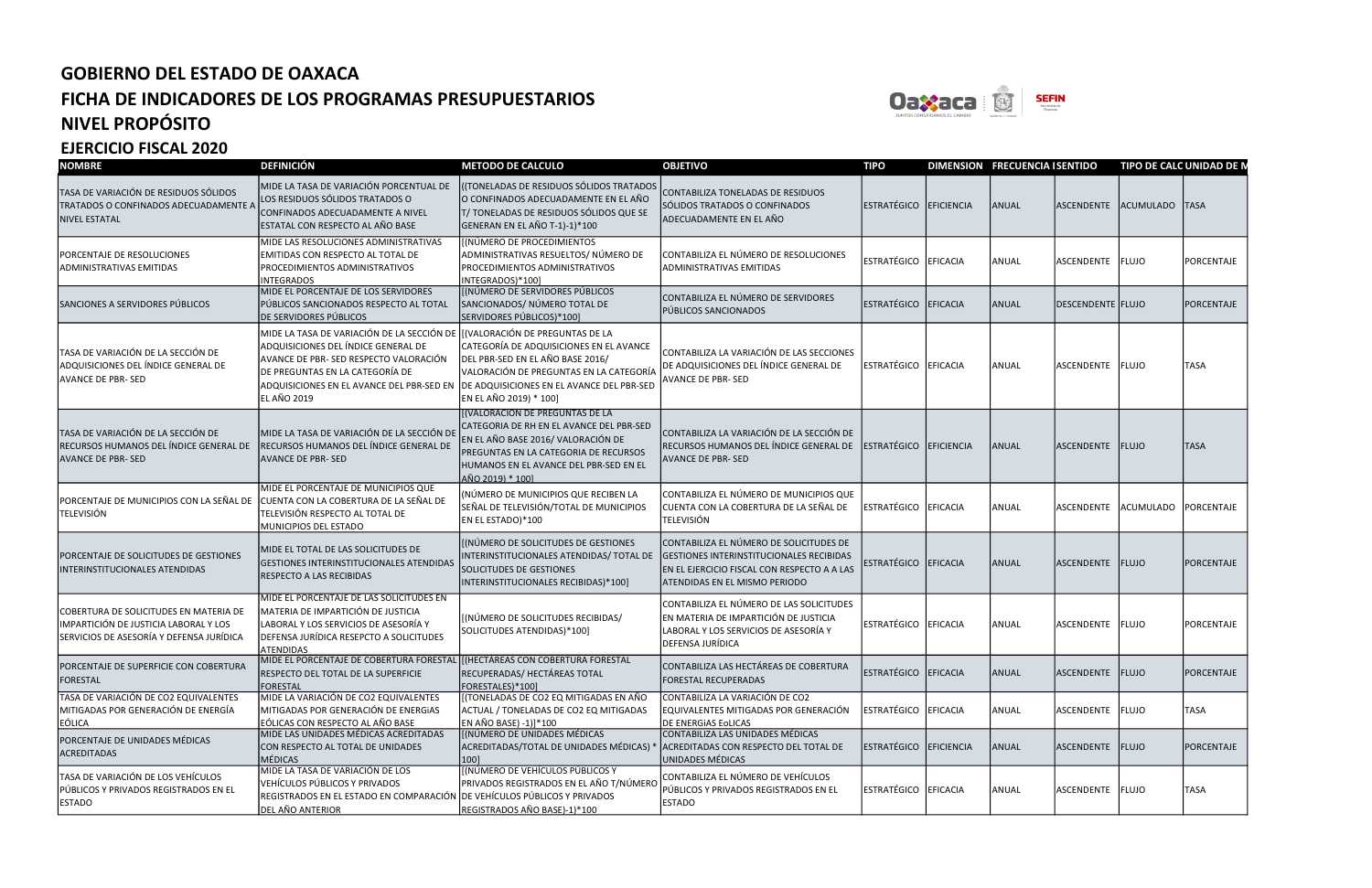

| <b>NOMBRE</b>                                                                                                               | <b>DEFINICIÓN</b>                                                                                                                                                                                                                                                | <b>METODO DE CALCULO</b>                                                                                                                                                                                                 | <b>OBJETIVO</b>                                                                                                                                                     | <b>TIPO</b>            | DIMENSION FRECUENCIA I SENTIDO |                          | TIPO DE CALC UNIDAD DE N |             |
|-----------------------------------------------------------------------------------------------------------------------------|------------------------------------------------------------------------------------------------------------------------------------------------------------------------------------------------------------------------------------------------------------------|--------------------------------------------------------------------------------------------------------------------------------------------------------------------------------------------------------------------------|---------------------------------------------------------------------------------------------------------------------------------------------------------------------|------------------------|--------------------------------|--------------------------|--------------------------|-------------|
| TASA DE VARIACIÓN DE RESIDUOS SÓLIDOS<br>TRATADOS O CONFINADOS ADECUADAMENTE A<br><b>NIVEL ESTATAL</b>                      | MIDE LA TASA DE VARIACIÓN PORCENTUAL DE<br>LOS RESIDUOS SÓLIDOS TRATADOS O<br>CONFINADOS ADECUADAMENTE A NIVEL<br>ESTATAL CON RESPECTO AL AÑO BASE                                                                                                               | (TONELADAS DE RESIDUOS SÓLIDOS TRATADOS<br>O CONFINADOS ADECUADAMENTE EN EL AÑO<br>T/TONELADAS DE RESIDUOS SÓLIDOS QUE SE<br>GENERAN EN EL AÑO T-1)-1)*100                                                               | CONTABILIZA TONELADAS DE RESIDUOS<br>SÓLIDOS TRATADOS O CONFINADOS<br>ADECUADAMENTE EN EL AÑO                                                                       | ESTRATÉGICO EFICIENCIA | ANUAL                          | ASCENDENTE ACUMULADO     |                          | <b>TASA</b> |
| PORCENTAJE DE RESOLUCIONES<br>ADMINISTRATIVAS EMITIDAS                                                                      | MIDE LAS RESOLUCIONES ADMINISTRATIVAS<br>EMITIDAS CON RESPECTO AL TOTAL DE<br>PROCEDIMIENTOS ADMINISTRATIVOS<br><b>INTEGRADOS</b>                                                                                                                                | [(NÚMERO DE PROCEDIMIENTOS<br>ADMINISTRATIVAS RESUELTOS/ NÚMERO DE<br><b>PROCEDIMIENTOS ADMINISTRATIVOS</b><br>INTEGRADOS)*100]                                                                                          | CONTABILIZA EL NÚMERO DE RESOLUCIONES<br><b>ADMINISTRATIVAS EMITIDAS</b>                                                                                            | ESTRATÉGICO EFICACIA   | ANUAL                          | ASCENDENTE FLUJO         |                          | PORCENTAJE  |
| SANCIONES A SERVIDORES PÚBLICOS                                                                                             | MIDE EL PORCENTAJE DE LOS SERVIDORES<br>PÚBLICOS SANCIONADOS RESPECTO AL TOTAL<br>DE SERVIDORES PÚBLICOS                                                                                                                                                         | [[NÚMERO DE SERVIDORES PÚBLICOS<br>SANCIONADOS/ NÚMERO TOTAL DE<br>SERVIDORES PÚBLICOS)*100]                                                                                                                             | CONTABILIZA EL NÚMERO DE SERVIDORES<br>PÚBLICOS SANCIONADOS                                                                                                         | ESTRATÉGICO EFICACIA   | ANUAL                          | <b>DESCENDENTE FLUJO</b> |                          | PORCENTAJE  |
| TASA DE VARIACIÓN DE LA SECCIÓN DE<br>ADQUISICIONES DEL ÍNDICE GENERAL DE<br><b>AVANCE DE PBR-SED</b>                       | MIDE LA TASA DE VARIACIÓN DE LA SECCIÓN DE ([VALORACIÓN DE PREGUNTAS DE LA<br>ADQUISICIONES DEL ÍNDICE GENERAL DE<br>AVANCE DE PBR-SED RESPECTO VALORACIÓN<br>DE PREGUNTAS EN LA CATEGORÍA DE<br>ADQUISICIONES EN EL AVANCE DEL PBR-SED EN<br><b>EL AÑO 2019</b> | CATEGORÍA DE ADQUISICIONES EN EL AVANCE<br>DEL PBR-SED EN EL AÑO BASE 2016/<br>VALORACIÓN DE PREGUNTAS EN LA CATEGORÍA<br>DE ADQUISICIONES EN EL AVANCE DEL PBR-SED<br>EN EL AÑO 2019) * 100]                            | CONTABILIZA LA VARIACIÓN DE LAS SECCIONES<br>DE ADQUISICIONES DEL ÍNDICE GENERAL DE<br><b>AVANCE DE PBR-SED</b>                                                     | ESTRATÉGICO EFICACIA   | ANUAL                          | ASCENDENTE FLUJO         |                          | <b>TASA</b> |
| TASA DE VARIACIÓN DE LA SECCIÓN DE<br>RECURSOS HUMANOS DEL ÍNDICE GENERAL DE<br><b>AVANCE DE PBR- SED</b>                   | MIDE LA TASA DE VARIACIÓN DE LA SECCIÓN DE<br>RECURSOS HUMANOS DEL ÍNDICE GENERAL DE<br><b>AVANCE DE PBR-SED</b>                                                                                                                                                 | [(VALORACIÓN DE PREGUNTAS DE LA<br>CATEGORIA DE RH EN EL AVANCE DEL PBR-SED<br>EN EL AÑO BASE 2016/ VALORACIÓN DE<br>PREGUNTAS EN LA CATEGORIA DE RECURSOS<br>HUMANOS EN EL AVANCE DEL PBR-SED EN EL<br>AÑO 2019) * 100] | CONTABILIZA LA VARIACIÓN DE LA SECCIÓN DE<br>RECURSOS HUMANOS DEL ÍNDICE GENERAL DE<br><b>AVANCE DE PBR-SED</b>                                                     | ESTRATÉGICO EFICIENCIA | ANUAL                          | ASCENDENTE FLUJO         |                          | <b>TASA</b> |
| PORCENTAJE DE MUNICIPIOS CON LA SEÑAL DE<br><b>TELEVISIÓN</b>                                                               | MIDE EL PORCENTAJE DE MUNICIPIOS QUE<br>CUENTA CON LA COBERTURA DE LA SEÑAL DE<br>TELEVISIÓN RESPECTO AL TOTAL DE<br><b>MUNICIPIOS DEL ESTADO</b>                                                                                                                | (NÚMERO DE MUNICIPIOS QUE RECIBEN LA<br>SEÑAL DE TELEVISIÓN/TOTAL DE MUNICIPIOS<br>EN EL ESTADO)*100                                                                                                                     | CONTABILIZA EL NÚMERO DE MUNICIPIOS QUE<br>CUENTA CON LA COBERTURA DE LA SEÑAL DE<br><b>TELEVISIÓN</b>                                                              | ESTRATÉGICO EFICACIA   | ANUAL                          | ASCENDENTE               | <b>ACUMULADO</b>         | PORCENTAJE  |
| PORCENTAJE DE SOLICITUDES DE GESTIONES<br>INTERINSTITUCIONALES ATENDIDAS                                                    | MIDE EL TOTAL DE LAS SOLICITUDES DE<br><b>GESTIONES INTERINSTITUCIONALES ATENDIDAS</b><br>RESPECTO A LAS RECIBIDAS                                                                                                                                               | [(NÚMERO DE SOLICITUDES DE GESTIONES<br>INTERINSTITUCIONALES ATENDIDAS/ TOTAL DE<br>SOLICITUDES DE GESTIONES<br>INTERINSTITUCIONALES RECIBIDAS)*100]                                                                     | CONTABILIZA EL NÚMERO DE SOLICITUDES DE<br>GESTIONES INTERINSTITUCIONALES RECIBIDAS<br>EN EL EJERCICIO FISCAL CON RESPECTO A A LAS<br>ATENDIDAS EN EL MISMO PERIODO | ESTRATÉGICO EFICACIA   | ANUAL                          | ASCENDENTE FLUJO         |                          | PORCENTAJE  |
| COBERTURA DE SOLICITUDES EN MATERIA DE<br>IMPARTICIÓN DE JUSTICIA LABORAL Y LOS<br>SERVICIOS DE ASESORÍA Y DEFENSA JURÍDICA | MIDE EL PORCENTAJE DE LAS SOLICITUDES EN<br>MATERIA DE IMPARTICIÓN DE JUSTICIA<br>LABORAL Y LOS SERVICIOS DE ASESORÍA Y<br>DEFENSA JURÍDICA RESEPCTO A SOLICITUDES<br><b>ATENDIDAS</b>                                                                           | [(NÚMERO DE SOLICITUDES RECIBIDAS/<br>SOLICITUDES ATENDIDAS)*100]                                                                                                                                                        | CONTABILIZA EL NÚMERO DE LAS SOLICITUDES<br>EN MATERIA DE IMPARTICIÓN DE JUSTICIA<br>LABORAL Y LOS SERVICIOS DE ASESORÍA Y<br><b>DEFENSA JURÍDICA</b>               | ESTRATÉGICO EFICACIA   | ANUAL                          | ASCENDENTE FLUJO         |                          | PORCENTAJE  |
| PORCENTAJE DE SUPERFICIE CON COBERTURA<br><b>FORESTAL</b>                                                                   | MIDE EL PORCENTAJE DE COBERTURA FORESTAL ([(HECTÁREAS CON COBERTURA FORESTAL<br>RESPECTO DEL TOTAL DE LA SUPERFICIE<br><b>FORESTAL</b>                                                                                                                           | RECUPERADAS/ HECTÁREAS TOTAL<br>FORESTALES)*100]                                                                                                                                                                         | CONTABILIZA LAS HECTÁREAS DE COBERTURA<br>FORESTAL RECUPERADAS                                                                                                      | ESTRATÉGICO EFICACIA   | ANUAL                          | ASCENDENTE FLUJO         |                          | PORCENTAJE  |
| TASA DE VARIACIÓN DE CO2 EQUIVALENTES<br>MITIGADAS POR GENERACIÓN DE ENERGÍA<br>EÓLICA                                      | MIDE LA VARIACIÓN DE CO2 EQUIVALENTES<br>MITIGADAS POR GENERACIÓN DE ENERGIAS<br>EÓLICAS CON RESPECTO AL AÑO BASE                                                                                                                                                | [(TONELADAS DE CO2 EQ MITIGADAS EN AÑO<br>ACTUAL / TONELADAS DE CO2 EQ MITIGADAS<br>EN AÑO BASE) -1)]*100                                                                                                                | CONTABILIZA LA VARIACIÓN DE CO2<br>EQUIVALENTES MITIGADAS POR GENERACIÓN<br><b>DE ENERGIAS EOLICAS</b>                                                              | ESTRATÉGICO EFICACIA   | ANUAL                          | ASCENDENTE FLUJO         |                          | TASA        |
| PORCENTAJE DE UNIDADES MÉDICAS<br>ACREDITADAS                                                                               | MIDE LAS UNIDADES MÉDICAS ACREDITADAS<br>CON RESPECTO AL TOTAL DE UNIDADES<br>MÉDICAS                                                                                                                                                                            | [(NÚMERO DE UNIDADES MÉDICAS<br>ACREDITADAS/TOTAL DE UNIDADES MÉDICAS) *<br>100]                                                                                                                                         | CONTABILIZA LAS UNIDADES MÉDICAS<br>ACREDITADAS CON RESPECTO DEL TOTAL DE<br>UNIDADES MÉDICAS                                                                       | ESTRATÉGICO EFICIENCIA | ANUAL                          | ASCENDENTE FLUJO         |                          | PORCENTAJE  |
| TASA DE VARIACIÓN DE LOS VEHÍCULOS<br>PÚBLICOS Y PRIVADOS REGISTRADOS EN EL<br><b>ESTADO</b>                                | MIDE LA TASA DE VARIACIÓN DE LOS<br>VEHÍCULOS PÚBLICOS Y PRIVADOS<br>REGISTRADOS EN EL ESTADO EN COMPARACIÓN DE VEHÍCULOS PÚBLICOS Y PRIVADOS<br>DEL AÑO ANTERIOR                                                                                                | [[(NÚMERO DE VEHÍCULOS PÚBLICOS Y<br>PRIVADOS REGISTRADOS EN EL AÑO T/NÚMERO<br>REGISTRADOS AÑO BASE)-1)*100                                                                                                             | CONTABILIZA EL NÚMERO DE VEHÍCULOS<br>PÚBLICOS Y PRIVADOS REGISTRADOS EN EL<br><b>ESTADO</b>                                                                        | ESTRATÉGICO EFICACIA   | ANUAL                          | ASCENDENTE FLUJO         |                          | TASA        |